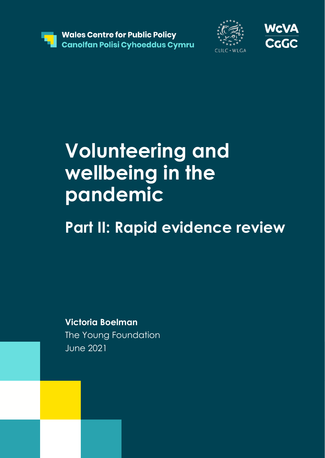





# **Volunteering and wellbeing in the pandemic**

# **Part II: Rapid evidence review**

**Victoria Boelman**  The Young Foundation June 2021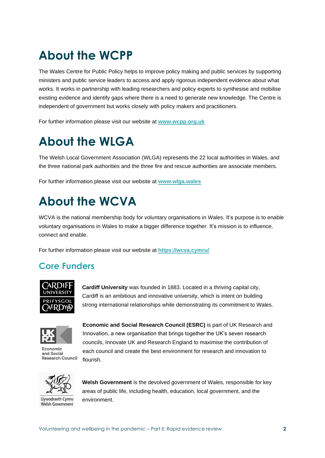# **About the WCPP**

The Wales Centre for Public Policy helps to improve policy making and public services by supporting ministers and public service leaders to access and apply rigorous independent evidence about what works. It works in partnership with leading researchers and policy experts to synthesise and mobilise existing evidence and identify gaps where there is a need to generate new knowledge. The Centre is independent of government but works closely with policy makers and practitioners.

For further information please visit our website at **[www.wcpp.org.uk](http://www.wcpp.org.uk/)**

# **About the WLGA**

The Welsh Local Government Association (WLGA) represents the 22 local authorities in Wales, and the three national park authorities and the three fire and rescue authorities are associate members.

For further information please visit our website at **[www.wlga.wales](http://www.wlga.wales/)**

# **About the WCVA**

WCVA is the national membership body for voluntary organisations in Wales. It's purpose is to enable voluntary organisations in Wales to make a bigger difference together. It's mission is to influence, connect and enable.

For further information please visit our website at **<https://wcva.cymru/>**

## **Core Funders**



**Cardiff University** was founded in 1883. Located in a thriving capital city, Cardiff is an ambitious and innovative university, which is intent on building strong international relationships while demonstrating its commitment to Wales.



Economic and Social **Research Council** 

**Economic and Social Research Council (ESRC)** is part of UK Research and Innovation, a new organisation that brings together the UK's seven research councils, Innovate UK and Research England to maximise the contribution of each council and create the best environment for research and innovation to flourish.



Llywodraeth Cymru Welsh Government

**Welsh Government** is the devolved government of Wales, responsible for key areas of public life, including health, education, local government, and the environment.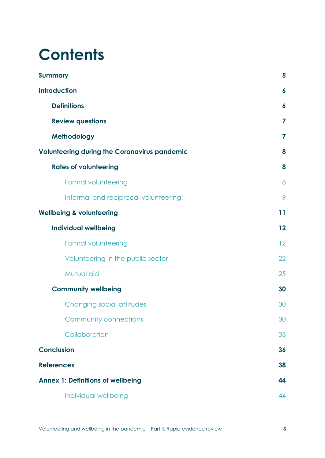# **Contents**

| <b>Summary</b>                                      | 5                |
|-----------------------------------------------------|------------------|
| <b>Introduction</b>                                 | $\boldsymbol{6}$ |
| <b>Definitions</b>                                  | 6                |
| <b>Review questions</b>                             | 7                |
| Methodology                                         | 7                |
| <b>Volunteering during the Coronavirus pandemic</b> | 8                |
| <b>Rates of volunteering</b>                        | 8                |
| Formal volunteering                                 | 8                |
| Informal and reciprocal volunteering                | 9                |
| <b>Wellbeing &amp; volunteering</b>                 | 11               |
| <b>Individual wellbeing</b>                         | 12               |
| Formal volunteering                                 | 12               |
| Volunteering in the public sector                   | 22               |
| Mutual aid                                          | 25               |
| <b>Community wellbeing</b>                          | 30               |
| Changing social attitudes                           | 30               |
| <b>Community connections</b>                        | 30               |
| Collaboration                                       | 33               |
| <b>Conclusion</b>                                   | 36               |
| <b>References</b>                                   | 38               |
| <b>Annex 1: Definitions of wellbeing</b>            | 44               |
| Individual wellbeing                                | 44               |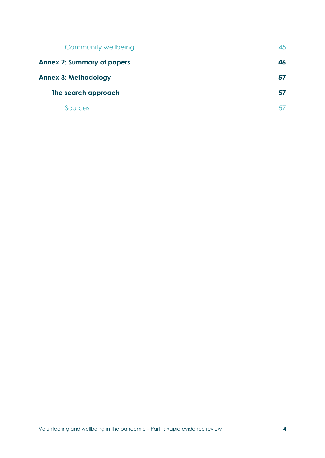| Community wellbeing               | 45  |
|-----------------------------------|-----|
| <b>Annex 2: Summary of papers</b> | 46. |
| <b>Annex 3: Methodology</b>       | 57  |
| The search approach               | 57  |
| Sources                           |     |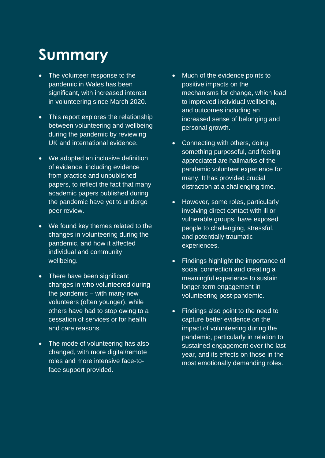# **Summary**

- The volunteer response to the pandemic in Wales has been significant, with increased interest in volunteering since March 2020.
- This report explores the relationship between volunteering and wellbeing during the pandemic by reviewing UK and international evidence.
- We adopted an inclusive definition of evidence, including evidence from practice and unpublished papers, to reflect the fact that many academic papers published during the pandemic have yet to undergo peer review.
- We found key themes related to the changes in volunteering during the pandemic, and how it affected individual and community wellbeing.
- There have been significant changes in who volunteered during the pandemic – with many new volunteers (often younger), while others have had to stop owing to a cessation of services or for health and care reasons.
- The mode of volunteering has also changed, with more digital/remote roles and more intensive face-toface support provided.
- Much of the evidence points to positive impacts on the mechanisms for change, which lead to improved individual wellbeing, and outcomes including an increased sense of belonging and personal growth.
- Connecting with others, doing something purposeful, and feeling appreciated are hallmarks of the pandemic volunteer experience for many. It has provided crucial distraction at a challenging time.
- However, some roles, particularly involving direct contact with ill or vulnerable groups, have exposed people to challenging, stressful, and potentially traumatic experiences.
- Findings highlight the importance of social connection and creating a meaningful experience to sustain longer-term engagement in volunteering post-pandemic.
- Findings also point to the need to capture better evidence on the impact of volunteering during the pandemic, particularly in relation to sustained engagement over the last year, and its effects on those in the most emotionally demanding roles.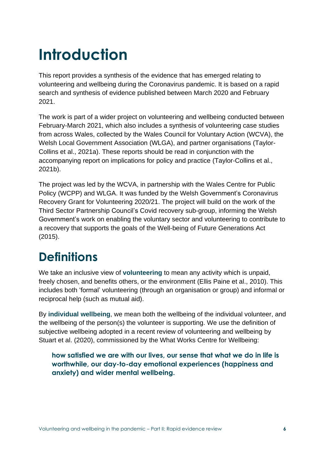# **Introduction**

This report provides a synthesis of the evidence that has emerged relating to volunteering and wellbeing during the Coronavirus pandemic. It is based on a rapid search and synthesis of evidence published between March 2020 and February 2021.

The work is part of a wider project on volunteering and wellbeing conducted between February-March 2021, which also includes a synthesis of volunteering case studies from across Wales, collected by the Wales Council for Voluntary Action (WCVA), the Welsh Local Government Association (WLGA), and partner organisations (Taylor-Collins et al., 2021a). These reports should be read in conjunction with the accompanying report on implications for policy and practice (Taylor-Collins et al., 2021b).

The project was led by the WCVA, in partnership with the Wales Centre for Public Policy (WCPP) and WLGA. It was funded by the Welsh Government's Coronavirus Recovery Grant for Volunteering 2020/21. The project will build on the work of the Third Sector Partnership Council's Covid recovery sub-group, informing the Welsh Government's work on enabling the voluntary sector and volunteering to contribute to a recovery that supports the goals of the Well-being of Future Generations Act (2015).

# **Definitions**

We take an inclusive view of **volunteering** to mean any activity which is unpaid, freely chosen, and benefits others, or the environment (Ellis Paine et al., 2010). This includes both 'formal' volunteering (through an organisation or group) and informal or reciprocal help (such as mutual aid).

By **individual wellbeing**, we mean both the wellbeing of the individual volunteer, and the wellbeing of the person(s) the volunteer is supporting. We use the definition of subjective wellbeing adopted in a recent review of volunteering and wellbeing by Stuart et al. (2020), commissioned by the What Works Centre for Wellbeing:

**how satisfied we are with our lives, our sense that what we do in life is worthwhile, our day-to-day emotional experiences (happiness and anxiety) and wider mental wellbeing.**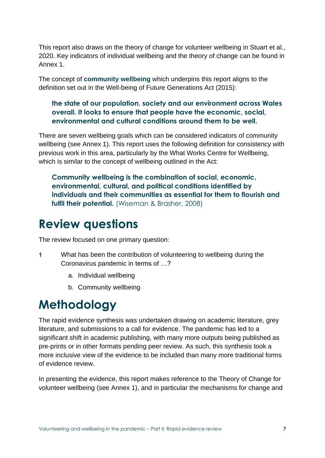This report also draws on the theory of change for volunteer wellbeing in Stuart et al., 2020. Key indicators of individual wellbeing and the theory of change can be found in Annex 1.

The concept of **community wellbeing** which underpins this report aligns to the definition set out in the Well-being of Future Generations Act (2015):

#### **the state of our population, society and our environment across Wales overall. It looks to ensure that people have the economic, social, environmental and cultural conditions around them to be well.**

There are seven wellbeing goals which can be considered indicators of community wellbeing (see Annex 1). This report uses the following definition for consistency with previous work in this area, particularly by the What Works Centre for Wellbeing, which is similar to the concept of wellbeing outlined in the Act:

**Community wellbeing is the combination of social, economic, environmental, cultural, and political conditions identified by individuals and their communities as essential for them to flourish and**  fulfil their potential. (Wiseman & Brasher, 2008)

# **Review questions**

The review focused on one primary question:

- **1** What has been the contribution of volunteering to wellbeing during the Coronavirus pandemic in terms of …?
	- a. Individual wellbeing
	- b. Community wellbeing

# **Methodology**

The rapid evidence synthesis was undertaken drawing on academic literature, grey literature, and submissions to a call for evidence. The pandemic has led to a significant shift in academic publishing, with many more outputs being published as pre-prints or in other formats pending peer review. As such, this synthesis took a more inclusive view of the evidence to be included than many more traditional forms of evidence review.

In presenting the evidence, this report makes reference to the Theory of Change for volunteer wellbeing (see Annex 1), and in particular the mechanisms for change and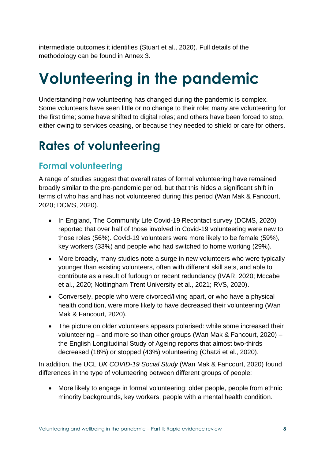intermediate outcomes it identifies (Stuart et al., 2020). Full details of the methodology can be found in Annex 3.

# **Volunteering in the pandemic**

Understanding how volunteering has changed during the pandemic is complex. Some volunteers have seen little or no change to their role; many are volunteering for the first time; some have shifted to digital roles; and others have been forced to stop, either owing to services ceasing, or because they needed to shield or care for others.

# **Rates of volunteering**

## **Formal volunteering**

A range of studies suggest that overall rates of formal volunteering have remained broadly similar to the pre-pandemic period, but that this hides a significant shift in terms of who has and has not volunteered during this period (Wan Mak & Fancourt, 2020; DCMS, 2020).

- In England, The Community Life Covid-19 Recontact survey (DCMS, 2020) reported that over half of those involved in Covid-19 volunteering were new to those roles (56%). Covid-19 volunteers were more likely to be female (59%), key workers (33%) and people who had switched to home working (29%).
- More broadly, many studies note a surge in new volunteers who were typically younger than existing volunteers, often with different skill sets, and able to contribute as a result of furlough or recent redundancy (IVAR, 2020; Mccabe et al., 2020; Nottingham Trent University et al., 2021; RVS, 2020).
- Conversely, people who were divorced/living apart, or who have a physical health condition, were more likely to have decreased their volunteering (Wan Mak & Fancourt, 2020).
- The picture on older volunteers appears polarised: while some increased their volunteering – and more so than other groups (Wan Mak & Fancourt, 2020) – the English Longitudinal Study of Ageing reports that almost two-thirds decreased (18%) or stopped (43%) volunteering (Chatzi et al., 2020).

In addition, the UCL *UK COVID-19 Social Study* (Wan Mak & Fancourt, 2020) found differences in the type of volunteering between different groups of people:

• More likely to engage in formal volunteering: older people, people from ethnic minority backgrounds, key workers, people with a mental health condition.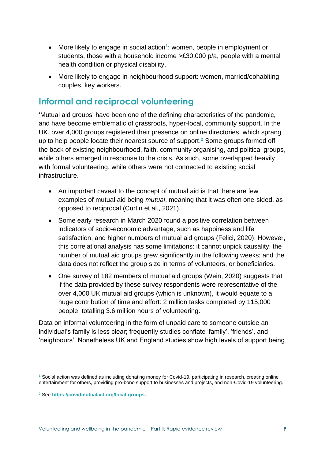- More likely to engage in social action**<sup>1</sup>** : women, people in employment or students, those with a household income >£30,000 p/a, people with a mental health condition or physical disability.
- More likely to engage in neighbourhood support: women, married/cohabiting couples, key workers.

## **Informal and reciprocal volunteering**

'Mutual aid groups' have been one of the defining characteristics of the pandemic, and have become emblematic of grassroots, hyper-local, community support. In the UK, over 4,000 groups registered their presence on online directories, which sprang up to help people locate their nearest source of support. **<sup>2</sup>** Some groups formed off the back of existing neighbourhood, faith, community organising, and political groups, while others emerged in response to the crisis. As such, some overlapped heavily with formal volunteering, while others were not connected to existing social infrastructure.

- An important caveat to the concept of mutual aid is that there are few examples of mutual aid being *mutual*, meaning that it was often one-sided, as opposed to reciprocal (Curtin et al., 2021).
- Some early research in March 2020 found a positive correlation between indicators of socio-economic advantage, such as happiness and life satisfaction, and higher numbers of mutual aid groups (Felici, 2020). However, this correlational analysis has some limitations: it cannot unpick causality; the number of mutual aid groups grew significantly in the following weeks; and the data does not reflect the group size in terms of volunteers, or beneficiaries.
- One survey of 182 members of mutual aid groups (Wein, 2020) suggests that if the data provided by these survey respondents were representative of the over 4,000 UK mutual aid groups (which is unknown), it would equate to a huge contribution of time and effort: 2 million tasks completed by 115,000 people, totalling 3.6 million hours of volunteering.

Data on informal volunteering in the form of unpaid care to someone outside an individual's family is less clear; frequently studies conflate 'family', 'friends', and 'neighbours'. Nonetheless UK and England studies show high levels of support being

**<sup>1</sup>** Social action was defined as including donating money for Covid-19, participating in research, creating online entertainment for others, providing pro-bono support to businesses and projects, and non-Covid-19 volunteering.

**<sup>2</sup>** See **[https://covidmutualaid.org/local-groups.](https://covidmutualaid.org/local-groups)**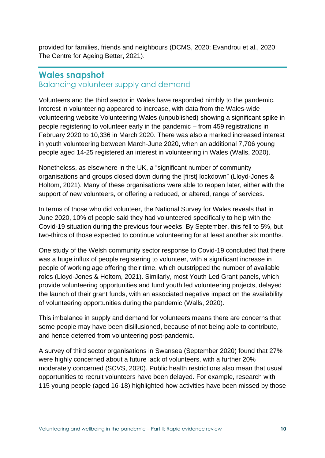provided for families, friends and neighbours (DCMS, 2020; Evandrou et al., 2020; The Centre for Ageing Better, 2021).

### **Wales snapshot**

Balancing volunteer supply and demand

Volunteers and the third sector in Wales have responded nimbly to the pandemic. Interest in volunteering appeared to increase, with data from the Wales-wide volunteering website Volunteering Wales (unpublished) showing a significant spike in people registering to volunteer early in the pandemic – from 459 registrations in February 2020 to 10,336 in March 2020. There was also a marked increased interest in youth volunteering between March-June 2020, when an additional 7,706 young people aged 14-25 registered an interest in volunteering in Wales (Walls, 2020).

Nonetheless, as elsewhere in the UK, a "significant number of community organisations and groups closed down during the [first] lockdown" (Lloyd-Jones & Holtom, 2021). Many of these organisations were able to reopen later, either with the support of new volunteers, or offering a reduced, or altered, range of services.

In terms of those who did volunteer, the National Survey for Wales reveals that in June 2020, 10% of people said they had volunteered specifically to help with the Covid-19 situation during the previous four weeks. By September, this fell to 5%, but two-thirds of those expected to continue volunteering for at least another six months.

One study of the Welsh community sector response to Covid-19 concluded that there was a huge influx of people registering to volunteer, with a significant increase in people of working age offering their time, which outstripped the number of available roles (Lloyd-Jones & Holtom, 2021). Similarly, most Youth Led Grant panels, which provide volunteering opportunities and fund youth led volunteering projects, delayed the launch of their grant funds, with an associated negative impact on the availability of volunteering opportunities during the pandemic (Walls, 2020).

This imbalance in supply and demand for volunteers means there are concerns that some people may have been disillusioned, because of not being able to contribute, and hence deterred from volunteering post-pandemic.

A survey of third sector organisations in Swansea (September 2020) found that 27% were highly concerned about a future lack of volunteers, with a further 20% moderately concerned (SCVS, 2020). Public health restrictions also mean that usual opportunities to recruit volunteers have been delayed. For example, research with 115 young people (aged 16-18) highlighted how activities have been missed by those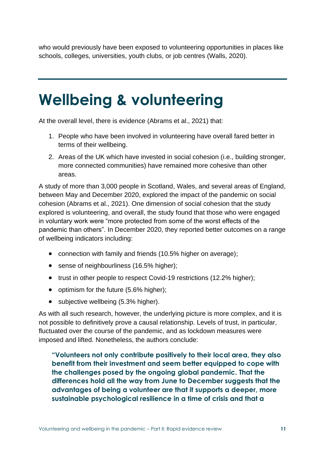who would previously have been exposed to volunteering opportunities in places like schools, colleges, universities, youth clubs, or job centres (Walls, 2020).

# **Wellbeing & volunteering**

At the overall level, there is evidence (Abrams et al., 2021) that:

- 1. People who have been involved in volunteering have overall fared better in terms of their wellbeing.
- 2. Areas of the UK which have invested in social cohesion (i.e., building stronger, more connected communities) have remained more cohesive than other areas.

A study of more than 3,000 people in Scotland, Wales, and several areas of England, between May and December 2020, explored the impact of the pandemic on social cohesion (Abrams et al., 2021). One dimension of social cohesion that the study explored is volunteering, and overall, the study found that those who were engaged in voluntary work were "more protected from some of the worst effects of the pandemic than others". In December 2020, they reported better outcomes on a range of wellbeing indicators including:

- connection with family and friends (10.5% higher on average);
- sense of neighbourliness (16.5% higher);
- trust in other people to respect Covid-19 restrictions (12.2% higher);
- optimism for the future (5.6% higher);
- subjective wellbeing (5.3% higher).

As with all such research, however, the underlying picture is more complex, and it is not possible to definitively prove a causal relationship. Levels of trust, in particular, fluctuated over the course of the pandemic, and as lockdown measures were imposed and lifted. Nonetheless, the authors conclude:

**"Volunteers not only contribute positively to their local area, they also benefit from their investment and seem better equipped to cope with the challenges posed by the ongoing global pandemic. That the differences hold all the way from June to December suggests that the advantages of being a volunteer are that it supports a deeper, more sustainable psychological resilience in a time of crisis and that a**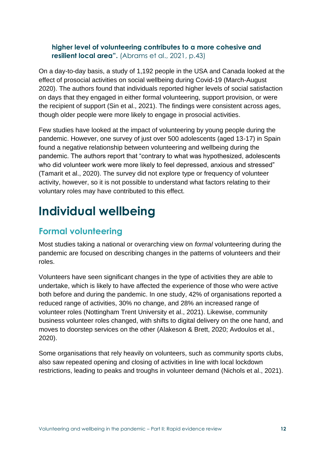### **higher level of volunteering contributes to a more cohesive and resilient local area".** (Abrams et al., 2021, p.43)

On a day-to-day basis, a study of 1,192 people in the USA and Canada looked at the effect of prosocial activities on social wellbeing during Covid-19 (March-August 2020). The authors found that individuals reported higher levels of social satisfaction on days that they engaged in either formal volunteering, support provision, or were the recipient of support (Sin et al., 2021). The findings were consistent across ages, though older people were more likely to engage in prosocial activities.

Few studies have looked at the impact of volunteering by young people during the pandemic. However, one survey of just over 500 adolescents (aged 13-17) in Spain found a negative relationship between volunteering and wellbeing during the pandemic. The authors report that "contrary to what was hypothesized, adolescents who did volunteer work were more likely to feel depressed, anxious and stressed" (Tamarit et al., 2020). The survey did not explore type or frequency of volunteer activity, however, so it is not possible to understand what factors relating to their voluntary roles may have contributed to this effect.

# **Individual wellbeing**

# **Formal volunteering**

Most studies taking a national or overarching view on *formal* volunteering during the pandemic are focused on describing changes in the patterns of volunteers and their roles.

Volunteers have seen significant changes in the type of activities they are able to undertake, which is likely to have affected the experience of those who were active both before and during the pandemic. In one study, 42% of organisations reported a reduced range of activities, 30% no change, and 28% an increased range of volunteer roles (Nottingham Trent University et al., 2021). Likewise, community business volunteer roles changed, with shifts to digital delivery on the one hand, and moves to doorstep services on the other (Alakeson & Brett, 2020; Avdoulos et al., 2020).

Some organisations that rely heavily on volunteers, such as community sports clubs, also saw repeated opening and closing of activities in line with local lockdown restrictions, leading to peaks and troughs in volunteer demand (Nichols et al., 2021).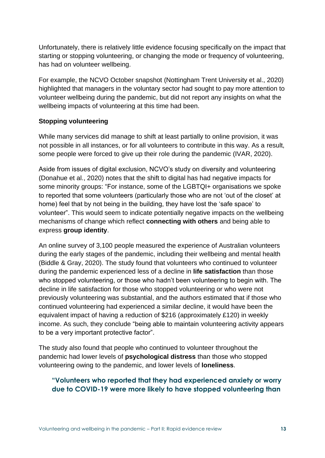Unfortunately, there is relatively little evidence focusing specifically on the impact that starting or stopping volunteering, or changing the mode or frequency of volunteering, has had on volunteer wellbeing.

For example, the NCVO October snapshot (Nottingham Trent University et al., 2020) highlighted that managers in the voluntary sector had sought to pay more attention to volunteer wellbeing during the pandemic, but did not report any insights on what the wellbeing impacts of volunteering at this time had been.

#### **Stopping volunteering**

While many services did manage to shift at least partially to online provision, it was not possible in all instances, or for all volunteers to contribute in this way. As a result, some people were forced to give up their role during the pandemic (IVAR, 2020).

Aside from issues of digital exclusion, NCVO's study on diversity and volunteering (Donahue et al., 2020) notes that the shift to digital has had negative impacts for some minority groups: "For instance, some of the LGBTQI+ organisations we spoke to reported that some volunteers (particularly those who are not 'out of the closet' at home) feel that by not being in the building, they have lost the 'safe space' to volunteer". This would seem to indicate potentially negative impacts on the wellbeing mechanisms of change which reflect **connecting with others** and being able to express **group identity**.

An online survey of 3,100 people measured the experience of Australian volunteers during the early stages of the pandemic, including their wellbeing and mental health (Biddle & Gray, 2020). The study found that volunteers who continued to volunteer during the pandemic experienced less of a decline in **life satisfaction** than those who stopped volunteering, or those who hadn't been volunteering to begin with. The decline in life satisfaction for those who stopped volunteering or who were not previously volunteering was substantial, and the authors estimated that if those who continued volunteering had experienced a similar decline, it would have been the equivalent impact of having a reduction of \$216 (approximately £120) in weekly income. As such, they conclude "being able to maintain volunteering activity appears to be a very important protective factor".

The study also found that people who continued to volunteer throughout the pandemic had lower levels of **psychological distress** than those who stopped volunteering owing to the pandemic, and lower levels of **loneliness**.

### **"Volunteers who reported that they had experienced anxiety or worry due to COVID-19 were more likely to have stopped volunteering than**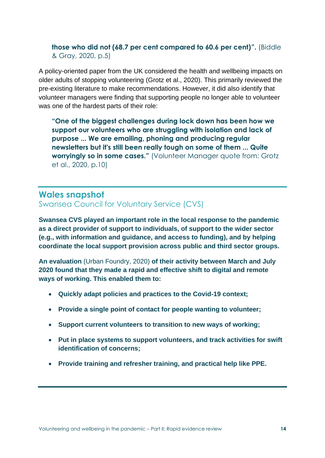### **those who did not (68.7 per cent compared to 60.6 per cent)".** (Biddle & Gray, 2020, p.5)

A policy-oriented paper from the UK considered the health and wellbeing impacts on older adults of stopping volunteering (Grotz et al., 2020). This primarily reviewed the pre-existing literature to make recommendations. However, it did also identify that volunteer managers were finding that supporting people no longer able to volunteer was one of the hardest parts of their role:

**"One of the biggest challenges during lock down has been how we support our volunteers who are struggling with isolation and lack of purpose ... We are emailing, phoning and producing regular newsletters but it's still been really tough on some of them ... Quite worryingly so in some cases."** (Volunteer Manager quote from: Grotz et al., 2020, p.10)

# **Wales snapshot**

Swansea Council for Voluntary Service (CVS)

**Swansea CVS played an important role in the local response to the pandemic as a direct provider of support to individuals, of support to the wider sector (e.g., with information and guidance, and access to funding), and by helping coordinate the local support provision across public and third sector groups.** 

**An evaluation** (Urban Foundry, 2020) **of their activity between March and July 2020 found that they made a rapid and effective shift to digital and remote ways of working. This enabled them to:** 

- **Quickly adapt policies and practices to the Covid-19 context;**
- **Provide a single point of contact for people wanting to volunteer;**
- **Support current volunteers to transition to new ways of working;**
- **Put in place systems to support volunteers, and track activities for swift identification of concerns;**
- **Provide training and refresher training, and practical help like PPE.**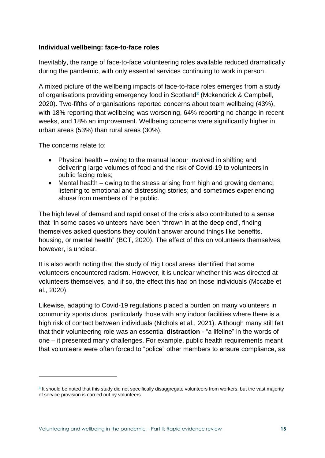#### **Individual wellbeing: face-to-face roles**

Inevitably, the range of face-to-face volunteering roles available reduced dramatically during the pandemic, with only essential services continuing to work in person.

A mixed picture of the wellbeing impacts of face-to-face roles emerges from a study of organisations providing emergency food in Scotland**<sup>3</sup>** (Mckendrick & Campbell, 2020). Two-fifths of organisations reported concerns about team wellbeing (43%), with 18% reporting that wellbeing was worsening, 64% reporting no change in recent weeks, and 18% an improvement. Wellbeing concerns were significantly higher in urban areas (53%) than rural areas (30%).

The concerns relate to:

- Physical health owing to the manual labour involved in shifting and delivering large volumes of food and the risk of Covid-19 to volunteers in public facing roles;
- Mental health owing to the stress arising from high and growing demand; listening to emotional and distressing stories; and sometimes experiencing abuse from members of the public.

The high level of demand and rapid onset of the crisis also contributed to a sense that "in some cases volunteers have been 'thrown in at the deep end', finding themselves asked questions they couldn't answer around things like benefits, housing, or mental health" (BCT, 2020). The effect of this on volunteers themselves, however, is unclear.

It is also worth noting that the study of Big Local areas identified that some volunteers encountered racism. However, it is unclear whether this was directed at volunteers themselves, and if so, the effect this had on those individuals (Mccabe et al., 2020).

Likewise, adapting to Covid-19 regulations placed a burden on many volunteers in community sports clubs, particularly those with any indoor facilities where there is a high risk of contact between individuals (Nichols et al., 2021). Although many still felt that their volunteering role was an essential **distraction** - "a lifeline" in the words of one – it presented many challenges. For example, public health requirements meant that volunteers were often forced to "police" other members to ensure compliance, as

**<sup>3</sup>** It should be noted that this study did not specifically disaggregate volunteers from workers, but the vast majority of service provision is carried out by volunteers.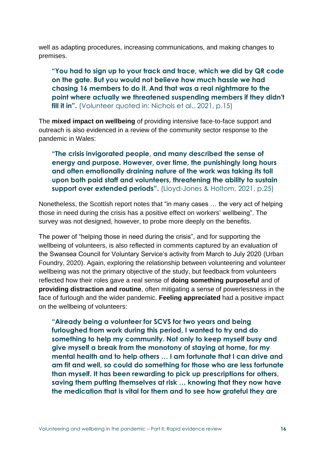well as adapting procedures, increasing communications, and making changes to premises.

**"You had to sign up to your track and trace, which we did by QR code on the gate. But you would not believe how much hassle we had chasing 16 members to do it. And that was a real nightmare to the point where actually we threatened suspending members if they didn't fill it in".** (Volunteer quoted in: Nichols et al., 2021, p.15)

The **mixed impact on wellbeing** of providing intensive face-to-face support and outreach is also evidenced in a review of the community sector response to the pandemic in Wales:

**"The crisis invigorated people, and many described the sense of energy and purpose. However, over time, the punishingly long hours and often emotionally draining nature of the work was taking its toll upon both paid staff and volunteers, threatening the ability to sustain support over extended periods".** (Lloyd-Jones & Holtom, 2021, p.25)

Nonetheless, the Scottish report notes that "in many cases … the very act of helping those in need during the crisis has a positive effect on workers' wellbeing". The survey was not designed, however, to probe more deeply on the benefits.

The power of "helping those in need during the crisis", and for supporting the wellbeing of volunteers, is also reflected in comments captured by an evaluation of the Swansea Council for Voluntary Service's activity from March to July 2020 (Urban Foundry, 2020). Again, exploring the relationship between volunteering and volunteer wellbeing was not the primary objective of the study, but feedback from volunteers reflected how their roles gave a real sense of **doing something purposeful** and of **providing distraction and routine**, often mitigating a sense of powerlessness in the face of furlough and the wider pandemic. **Feeling appreciated** had a positive impact on the wellbeing of volunteers:

**"Already being a volunteer for SCVS for two years and being furloughed from work during this period, I wanted to try and do something to help my community. Not only to keep myself busy and give myself a break from the monotony of staying at home, for my mental health and to help others … I am fortunate that I can drive and am fit and well, so could do something for those who are less fortunate than myself. It has been rewarding to pick up prescriptions for others, saving them putting themselves at risk … knowing that they now have the medication that is vital for them and to see how grateful they are**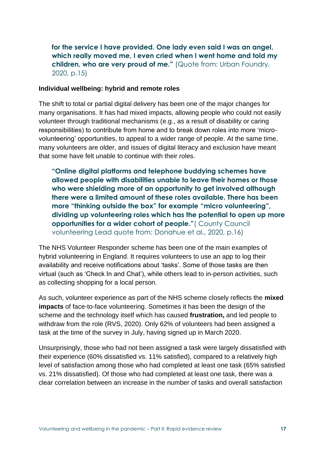**for the service I have provided. One lady even said I was an angel, which really moved me, I even cried when I went home and told my children, who are very proud of me."** (Quote from: Urban Foundry, 2020, p.15)

#### **Individual wellbeing: hybrid and remote roles**

The shift to total or partial digital delivery has been one of the major changes for many organisations. It has had mixed impacts, allowing people who could not easily volunteer through traditional mechanisms (e.g., as a result of disability or caring responsibilities) to contribute from home and to break down roles into more 'microvolunteering' opportunities, to appeal to a wider range of people. At the same time, many volunteers are older, and issues of digital literacy and exclusion have meant that some have felt unable to continue with their roles.

**"Online digital platforms and telephone buddying schemes have allowed people with disabilities unable to leave their homes or those who were shielding more of an opportunity to get involved although there were a limited amount of these roles available. There has been more "thinking outside the box" for example "micro volunteering", dividing up volunteering roles which has the potential to open up more opportunities for a wider cohort of people."**( County Council volunteering Lead quote from: Donahue et al., 2020, p.16)

The NHS Volunteer Responder scheme has been one of the main examples of hybrid volunteering in England. It requires volunteers to use an app to log their availability and receive notifications about 'tasks'. Some of those tasks are then virtual (such as 'Check In and Chat'), while others lead to in-person activities, such as collecting shopping for a local person.

As such, volunteer experience as part of the NHS scheme closely reflects the **mixed impacts** of face-to-face volunteering. Sometimes it has been the design of the scheme and the technology itself which has caused **frustration,** and led people to withdraw from the role (RVS, 2020). Only 62% of volunteers had been assigned a task at the time of the survey in July, having signed up in March 2020.

Unsurprisingly, those who had not been assigned a task were largely dissatisfied with their experience (60% dissatisfied vs. 11% satisfied), compared to a relatively high level of satisfaction among those who had completed at least one task (65% satisfied vs. 21% dissatisfied). Of those who had completed at least one task, there was a clear correlation between an increase in the number of tasks and overall satisfaction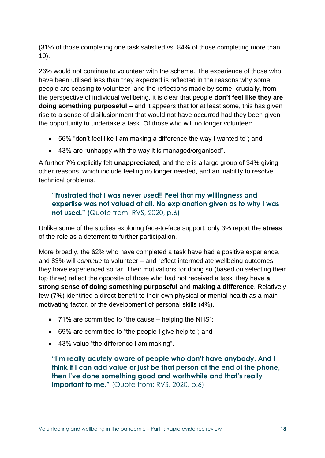(31% of those completing one task satisfied vs. 84% of those completing more than 10).

26% would not continue to volunteer with the scheme. The experience of those who have been utilised less than they expected is reflected in the reasons why some people are ceasing to volunteer, and the reflections made by some: crucially, from the perspective of individual wellbeing, it is clear that people **don't feel like they are doing something purposeful –** and it appears that for at least some, this has given rise to a sense of disillusionment that would not have occurred had they been given the opportunity to undertake a task. Of those who will no longer volunteer:

- 56% "don't feel like I am making a difference the way I wanted to"; and
- 43% are "unhappy with the way it is managed/organised".

A further 7% explicitly felt **unappreciated**, and there is a large group of 34% giving other reasons, which include feeling no longer needed, and an inability to resolve technical problems.

### **"Frustrated that I was never used!! Feel that my willingness and expertise was not valued at all. No explanation given as to why I was not used."** (Quote from: RVS, 2020, p.6)

Unlike some of the studies exploring face-to-face support, only 3% report the **stress** of the role as a deterrent to further participation.

More broadly, the 62% who have completed a task have had a positive experience, and 83% will *continue* to volunteer – and reflect intermediate wellbeing outcomes they have experienced so far. Their motivations for doing so (based on selecting their top three) reflect the opposite of those who had not received a task: they have **a strong sense of doing something purposeful** and **making a difference**. Relatively few (7%) identified a direct benefit to their own physical or mental health as a main motivating factor, or the development of personal skills (4%).

- 71% are committed to "the cause helping the NHS";
- 69% are committed to "the people I give help to"; and
- 43% value "the difference I am making".

**"I'm really acutely aware of people who don't have anybody. And I think if I can add value or just be that person at the end of the phone, then I've done something good and worthwhile and that's really important to me."** (Quote from: RVS, 2020, p.6)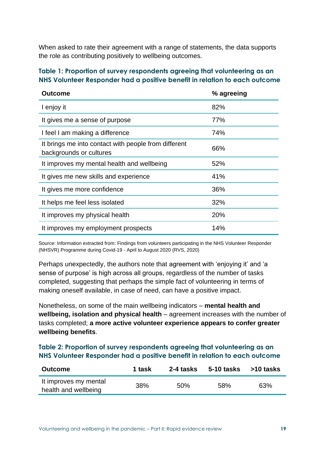When asked to rate their agreement with a range of statements, the data supports the role as contributing positively to wellbeing outcomes.

#### **Table 1: Proportion of survey respondents agreeing that volunteering as an NHS Volunteer Responder had a positive benefit in relation to each outcome**

| <b>Outcome</b>                                                                  | % agreeing |
|---------------------------------------------------------------------------------|------------|
| I enjoy it                                                                      | 82%        |
| It gives me a sense of purpose                                                  | 77%        |
| I feel I am making a difference                                                 | 74%        |
| It brings me into contact with people from different<br>backgrounds or cultures | 66%        |
| It improves my mental health and wellbeing                                      | 52%        |
| It gives me new skills and experience                                           | 41%        |
| It gives me more confidence                                                     | 36%        |
| It helps me feel less isolated                                                  | 32%        |
| It improves my physical health                                                  | 20%        |
| It improves my employment prospects                                             | 14%        |

Source: Information extracted from: Findings from volunteers participating in the NHS Volunteer Responder (NHSVR) Programme during Covid-19 - April to August 2020 (RVS, 2020)

Perhaps unexpectedly, the authors note that agreement with 'enjoying it' and 'a sense of purpose' is high across all groups, regardless of the number of tasks completed, suggesting that perhaps the simple fact of volunteering in terms of making oneself available, in case of need, can have a positive impact.

Nonetheless, on some of the main wellbeing indicators – **mental health and wellbeing, isolation and physical health** – agreement increases with the number of tasks completed; **a more active volunteer experience appears to confer greater wellbeing benefits**.

#### **Table 2: Proportion of survey respondents agreeing that volunteering as an NHS Volunteer Responder had a positive benefit in relation to each outcome**

| <b>Outcome</b>                                | 1 task | 2-4 tasks | $5-10$ tasks $>10$ tasks |     |
|-----------------------------------------------|--------|-----------|--------------------------|-----|
| It improves my mental<br>health and wellbeing | 38%    | 50%       | 58%                      | 63% |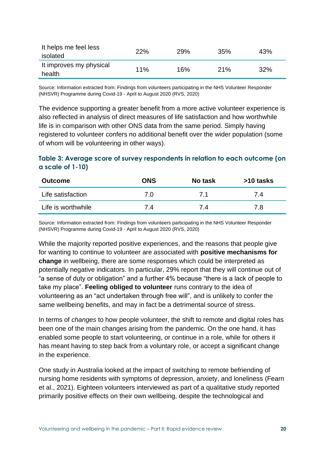| It helps me feel less<br>isolated | <b>22%</b> | 29% | 35% | 43% |
|-----------------------------------|------------|-----|-----|-----|
| It improves my physical<br>health | 11%        | 16% | 21% | 32% |

Source: Information extracted from: Findings from volunteers participating in the NHS Volunteer Responder (NHSVR) Programme during Covid-19 - April to August 2020 (RVS, 2020)

The evidence supporting a greater benefit from a more active volunteer experience is also reflected in analysis of direct measures of life satisfaction and how worthwhile life is in comparison with other ONS data from the same period. Simply having registered to volunteer confers no additional benefit over the wider population (some of whom will be volunteering in other ways).

#### **Table 3: Average score of survey respondents in relation to each outcome (on a scale of 1-10)**

| <b>Outcome</b>     | <b>ONS</b> | No task | >10 tasks |
|--------------------|------------|---------|-----------|
| Life satisfaction  | 7.0        | 71      | 74        |
| Life is worthwhile | 74         | 7.4     | 7.8       |

Source: Information extracted from: Findings from volunteers participating in the NHS Volunteer Responder (NHSVR) Programme during Covid-19 - April to August 2020 (RVS, 2020)

While the majority reported positive experiences, and the reasons that people give for wanting to continue to volunteer are associated with **positive mechanisms for change** in wellbeing, there are some responses which could be interpreted as potentially negative indicators. In particular, 29% report that they will continue out of "a sense of duty or obligation" and a further 4% because "there is a lack of people to take my place". **Feeling obliged to volunteer** runs contrary to the idea of volunteering as an "act undertaken through free will", and is unlikely to confer the same wellbeing benefits, and may in fact be a detrimental source of stress.

In terms of *changes* to how people volunteer, the shift to remote and digital roles has been one of the main changes arising from the pandemic. On the one hand, it has enabled some people to start volunteering, or continue in a role, while for others it has meant having to step back from a voluntary role, or accept a significant change in the experience.

One study in Australia looked at the impact of switching to remote befriending of nursing home residents with symptoms of depression, anxiety, and loneliness (Fearn et al., 2021). Eighteen volunteers interviewed as part of a qualitative study reported primarily positive effects on their own wellbeing, despite the technological and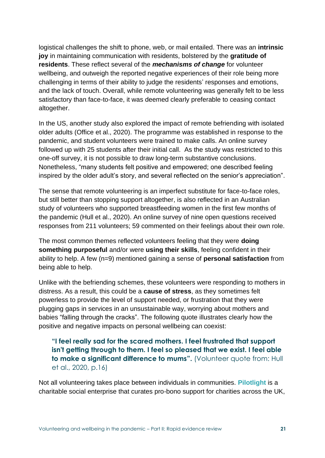logistical challenges the shift to phone, web, or mail entailed. There was an **intrinsic joy** in maintaining communication with residents, bolstered by the **gratitude of residents**. These reflect several of the *mechanisms of change* for volunteer wellbeing, and outweigh the reported negative experiences of their role being more challenging in terms of their ability to judge the residents' responses and emotions, and the lack of touch. Overall, while remote volunteering was generally felt to be less satisfactory than face-to-face, it was deemed clearly preferable to ceasing contact altogether.

In the US, another study also explored the impact of remote befriending with isolated older adults (Office et al., 2020). The programme was established in response to the pandemic, and student volunteers were trained to make calls. An online survey followed up with 25 students after their initial call. As the study was restricted to this one-off survey, it is not possible to draw long-term substantive conclusions. Nonetheless, "many students felt positive and empowered; one described feeling inspired by the older adult's story, and several reflected on the senior's appreciation".

The sense that remote volunteering is an imperfect substitute for face-to-face roles, but still better than stopping support altogether, is also reflected in an Australian study of volunteers who supported breastfeeding women in the first few months of the pandemic (Hull et al., 2020). An online survey of nine open questions received responses from 211 volunteers; 59 commented on their feelings about their own role.

The most common themes reflected volunteers feeling that they were **doing something purposeful** and/or were **using their skills**, feeling confident in their ability to help. A few (n=9) mentioned gaining a sense of **personal satisfaction** from being able to help.

Unlike with the befriending schemes, these volunteers were responding to mothers in distress. As a result, this could be a **cause of stress**, as they sometimes felt powerless to provide the level of support needed, or frustration that they were plugging gaps in services in an unsustainable way, worrying about mothers and babies "falling through the cracks". The following quote illustrates clearly how the positive and negative impacts on personal wellbeing can coexist:

### **"I feel really sad for the scared mothers. I feel frustrated that support isn't getting through to them. I feel so pleased that we exist. I feel able to make a significant difference to mums".** (Volunteer quote from: Hull et al., 2020, p.16)

Not all volunteering takes place between individuals in communities. **[Pilotlight](https://www.pilotlight.org.uk/)** is a charitable social enterprise that curates pro-bono support for charities across the UK,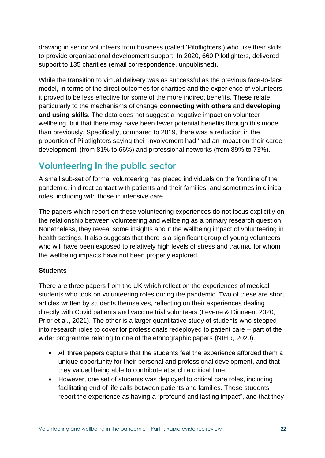drawing in senior volunteers from business (called 'Pilotlighters') who use their skills to provide organisational development support. In 2020, 660 Pilotlighters, delivered support to 135 charities (email correspondence, unpublished).

While the transition to virtual delivery was as successful as the previous face-to-face model, in terms of the direct outcomes for charities and the experience of volunteers, it proved to be less effective for some of the more indirect benefits. These relate particularly to the mechanisms of change **connecting with others** and **developing and using skills**. The data does not suggest a negative impact on volunteer wellbeing, but that there may have been fewer potential benefits through this mode than previously. Specifically, compared to 2019, there was a reduction in the proportion of Pilotlighters saying their involvement had 'had an impact on their career development' (from 81% to 66%) and professional networks (from 89% to 73%).

## **Volunteering in the public sector**

A small sub-set of formal volunteering has placed individuals on the frontline of the pandemic, in direct contact with patients and their families, and sometimes in clinical roles, including with those in intensive care.

The papers which report on these volunteering experiences do not focus explicitly on the relationship between volunteering and wellbeing as a primary research question. Nonetheless, they reveal some insights about the wellbeing impact of volunteering in health settings. It also suggests that there is a significant group of young volunteers who will have been exposed to relatively high levels of stress and trauma, for whom the wellbeing impacts have not been properly explored.

#### **Students**

There are three papers from the UK which reflect on the experiences of medical students who took on volunteering roles during the pandemic. Two of these are short articles written by students themselves, reflecting on their experiences dealing directly with Covid patients and vaccine trial volunteers (Levene & Dinneen, 2020; Prior et al., 2021). The other is a larger quantitative study of students who stepped into research roles to cover for professionals redeployed to patient care – part of the wider programme relating to one of the ethnographic papers (NIHR, 2020).

- All three papers capture that the students feel the experience afforded them a unique opportunity for their personal and professional development, and that they valued being able to contribute at such a critical time.
- However, one set of students was deployed to critical care roles, including facilitating end of life calls between patients and families. These students report the experience as having a "profound and lasting impact", and that they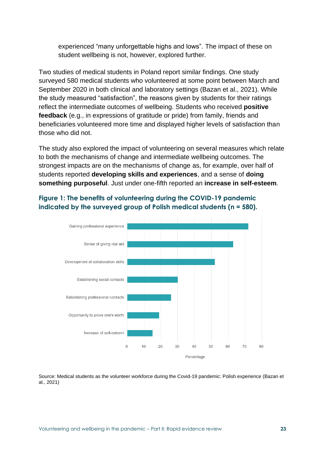experienced "many unforgettable highs and lows". The impact of these on student wellbeing is not, however, explored further.

Two studies of medical students in Poland report similar findings. One study surveyed 580 medical students who volunteered at some point between March and September 2020 in both clinical and laboratory settings (Bazan et al., 2021). While the study measured "satisfaction", the reasons given by students for their ratings reflect the intermediate outcomes of wellbeing. Students who received **positive feedback** (e.g., in expressions of gratitude or pride) from family, friends and beneficiaries volunteered more time and displayed higher levels of satisfaction than those who did not.

The study also explored the impact of volunteering on several measures which relate to both the mechanisms of change and intermediate wellbeing outcomes. The strongest impacts are on the mechanisms of change as, for example, over half of students reported **developing skills and experiences**, and a sense of **doing something purposeful**. Just under one-fifth reported an **increase in self-esteem**.



### **Figure 1: The benefits of volunteering during the COVID-19 pandemic indicated by the surveyed group of Polish medical students (n = 580).**

Source: Medical students as the volunteer workforce during the Covid-19 pandemic: Polish experience (Bazan et al., 2021)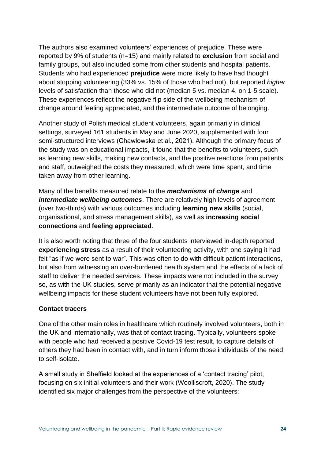The authors also examined volunteers' experiences of prejudice. These were reported by 9% of students (n=15) and mainly related to **exclusion** from social and family groups, but also included some from other students and hospital patients. Students who had experienced **prejudice** were more likely to have had thought about stopping volunteering (33% vs. 15% of those who had not), but reported *higher* levels of satisfaction than those who did not (median 5 vs. median 4, on 1-5 scale). These experiences reflect the negative flip side of the wellbeing mechanism of change around feeling appreciated, and the intermediate outcome of belonging.

Another study of Polish medical student volunteers, again primarily in clinical settings, surveyed 161 students in May and June 2020, supplemented with four semi-structured interviews (Chawłowska et al., 2021). Although the primary focus of the study was on educational impacts, it found that the benefits to volunteers, such as learning new skills, making new contacts, and the positive reactions from patients and staff, outweighed the costs they measured, which were time spent, and time taken away from other learning.

Many of the benefits measured relate to the *mechanisms of change* and *intermediate wellbeing outcomes*. There are relatively high levels of agreement (over two-thirds) with various outcomes including **learning new skills** (social, organisational, and stress management skills), as well as **increasing social connections** and **feeling appreciated**.

It is also worth noting that three of the four students interviewed in-depth reported **experiencing stress** as a result of their volunteering activity, with one saying it had felt "as if we were sent to war". This was often to do with difficult patient interactions, but also from witnessing an over-burdened health system and the effects of a lack of staff to deliver the needed services. These impacts were not included in the survey so, as with the UK studies, serve primarily as an indicator that the potential negative wellbeing impacts for these student volunteers have not been fully explored.

#### **Contact tracers**

One of the other main roles in healthcare which routinely involved volunteers, both in the UK and internationally, was that of contact tracing. Typically, volunteers spoke with people who had received a positive Covid-19 test result, to capture details of others they had been in contact with, and in turn inform those individuals of the need to self-isolate.

A small study in Sheffield looked at the experiences of a 'contact tracing' pilot, focusing on six initial volunteers and their work (Woolliscroft, 2020). The study identified six major challenges from the perspective of the volunteers: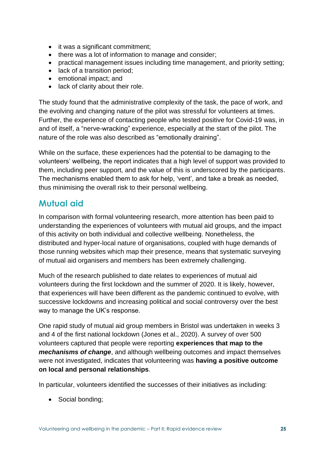- it was a significant commitment;
- there was a lot of information to manage and consider;
- practical management issues including time management, and priority setting;
- lack of a transition period;
- emotional impact; and
- lack of clarity about their role.

The study found that the administrative complexity of the task, the pace of work, and the evolving and changing nature of the pilot was stressful for volunteers at times. Further, the experience of contacting people who tested positive for Covid-19 was, in and of itself, a "nerve-wracking" experience, especially at the start of the pilot. The nature of the role was also described as "emotionally draining".

While on the surface, these experiences had the potential to be damaging to the volunteers' wellbeing, the report indicates that a high level of support was provided to them, including peer support, and the value of this is underscored by the participants. The mechanisms enabled them to ask for help, 'vent', and take a break as needed, thus minimising the overall risk to their personal wellbeing.

## **Mutual aid**

In comparison with formal volunteering research, more attention has been paid to understanding the experiences of volunteers with mutual aid groups, and the impact of this activity on both individual and collective wellbeing. Nonetheless, the distributed and hyper-local nature of organisations, coupled with huge demands of those running websites which map their presence, means that systematic surveying of mutual aid organisers and members has been extremely challenging.

Much of the research published to date relates to experiences of mutual aid volunteers during the first lockdown and the summer of 2020. It is likely, however, that experiences will have been different as the pandemic continued to evolve, with successive lockdowns and increasing political and social controversy over the best way to manage the UK's response.

One rapid study of mutual aid group members in Bristol was undertaken in weeks 3 and 4 of the first national lockdown (Jones et al., 2020). A survey of over 500 volunteers captured that people were reporting **experiences that map to the**  *mechanisms of change*, and although wellbeing outcomes and impact themselves were not investigated, indicates that volunteering was **having a positive outcome on local and personal relationships**.

In particular, volunteers identified the successes of their initiatives as including:

• Social bonding;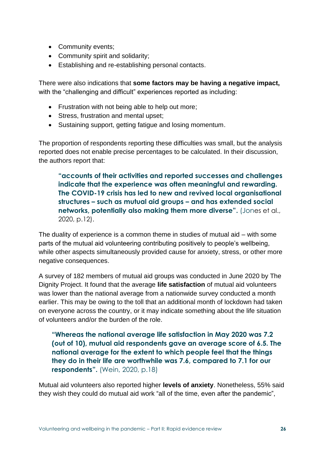- Community events;
- Community spirit and solidarity;
- Establishing and re-establishing personal contacts.

There were also indications that **some factors may be having a negative impact,** with the "challenging and difficult" experiences reported as including:

- Frustration with not being able to help out more;
- Stress, frustration and mental upset;
- Sustaining support, getting fatigue and losing momentum.

The proportion of respondents reporting these difficulties was small, but the analysis reported does not enable precise percentages to be calculated. In their discussion, the authors report that:

**"accounts of their activities and reported successes and challenges indicate that the experience was often meaningful and rewarding. The COVID-19 crisis has led to new and revived local organisational structures – such as mutual aid groups – and has extended social networks, potentially also making them more diverse".** (Jones et al., 2020, p.12).

The duality of experience is a common theme in studies of mutual aid – with some parts of the mutual aid volunteering contributing positively to people's wellbeing, while other aspects simultaneously provided cause for anxiety, stress, or other more negative consequences.

A survey of 182 members of mutual aid groups was conducted in June 2020 by The Dignity Project. It found that the average **life satisfaction** of mutual aid volunteers was lower than the national average from a nationwide survey conducted a month earlier. This may be owing to the toll that an additional month of lockdown had taken on everyone across the country, or it may indicate something about the life situation of volunteers and/or the burden of the role.

**"Whereas the national average life satisfaction in May 2020 was 7.2 (out of 10), mutual aid respondents gave an average score of 6.5. The national average for the extent to which people feel that the things they do in their life are worthwhile was 7.6, compared to 7.1 for our respondents".** (Wein, 2020, p.18)

Mutual aid volunteers also reported higher **levels of anxiety**. Nonetheless, 55% said they wish they could do mutual aid work "all of the time, even after the pandemic",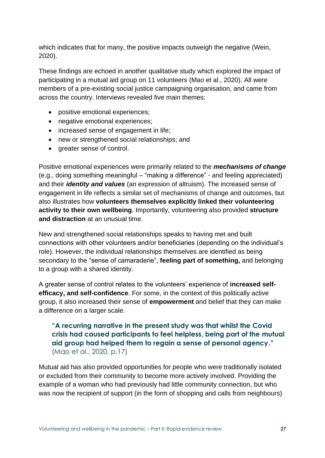which indicates that for many, the positive impacts outweigh the negative (Wein, 2020).

These findings are echoed in another qualitative study which explored the impact of participating in a mutual aid group on 11 volunteers (Mao et al., 2020). All were members of a pre-existing social justice campaigning organisation, and came from across the country. Interviews revealed five main themes:

- positive emotional experiences;
- negative emotional experiences;
- increased sense of engagement in life;
- new or strengthened social relationships; and
- greater sense of control.

Positive emotional experiences were primarily related to the *mechanisms of change* (e.g., doing something meaningful – "making a difference" - and feeling appreciated) and their *identity and values* (an expression of altruism). The increased sense of engagement in life reflects a similar set of mechanisms of change and outcomes, but also illustrates how **volunteers themselves explicitly linked their volunteering activity to their own wellbeing**. Importantly, volunteering also provided **structure and distraction** at an unusual time.

New and strengthened social relationships speaks to having met and built connections with other volunteers and/or beneficiaries (depending on the individual's role). However, the individual relationships themselves are identified as being secondary to the "sense of camaraderie", **feeling part of something,** and belonging to a group with a shared identity.

A greater sense of control relates to the volunteers' experience of **increased selfefficacy, and self-confidence**. For some, in the context of this politically active group, it also increased their sense of **empowerment** and belief that they can make a difference on a larger scale.

### **"A recurring narrative in the present study was that whilst the Covid crisis had caused participants to feel helpless, being part of the mutual aid group had helped them to regain a sense of personal agency."** (Mao et al., 2020, p.17)

Mutual aid has also provided opportunities for people who were traditionally isolated or excluded from their community to become more actively involved. Providing the example of a woman who had previously had little community connection, but who was now the recipient of support (in the form of shopping and calls from neighbours)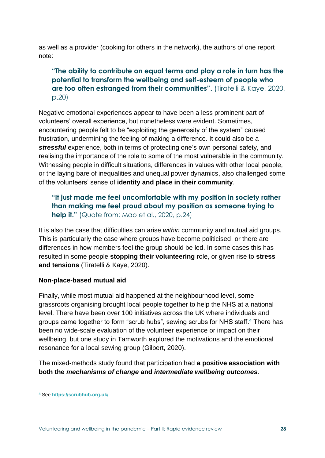as well as a provider (cooking for others in the network), the authors of one report note:

### **"The ability to contribute on equal terms and play a role in turn has the potential to transform the wellbeing and self-esteem of people who are too often estranged from their communities".** (Tiratelli & Kaye, 2020, p.20)

Negative emotional experiences appear to have been a less prominent part of volunteers' overall experience, but nonetheless were evident. Sometimes, encountering people felt to be "exploiting the generosity of the system" caused frustration, undermining the feeling of making a difference. It could also be a *stressful* experience, both in terms of protecting one's own personal safety, and realising the importance of the role to some of the most vulnerable in the community. Witnessing people in difficult situations, differences in values with other local people, or the laying bare of inequalities and unequal power dynamics, also challenged some of the volunteers' sense of **identity and place in their community**.

### **"It just made me feel uncomfortable with my position in society rather than making me feel proud about my position as someone trying to help it."** (Quote from: Mao et al., 2020, p.24)

It is also the case that difficulties can arise *within* community and mutual aid groups. This is particularly the case where groups have become politicised, or there are differences in how members feel the group should be led. In some cases this has resulted in some people **stopping their volunteering** role, or given rise to **stress and tensions** (Tiratelli & Kaye, 2020).

#### **Non-place-based mutual aid**

Finally, while most mutual aid happened at the neighbourhood level, some grassroots organising brought local people together to help the NHS at a national level. There have been over 100 initiatives across the UK where individuals and groups came together to form "scrub hubs", sewing scrubs for NHS staff. **<sup>4</sup>** There has been no wide-scale evaluation of the volunteer experience or impact on their wellbeing, but one study in Tamworth explored the motivations and the emotional resonance for a local sewing group (Gilbert, 2020).

The mixed-methods study found that participation had **a positive association with both the** *mechanisms of change* **and** *intermediate wellbeing outcomes*.

**<sup>4</sup>** See **<https://scrubhub.org.uk/>**.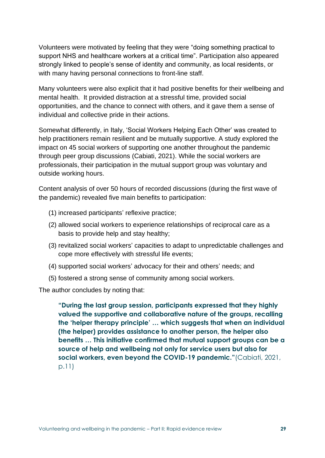Volunteers were motivated by feeling that they were "doing something practical to support NHS and healthcare workers at a critical time". Participation also appeared strongly linked to people's sense of identity and community, as local residents, or with many having personal connections to front-line staff.

Many volunteers were also explicit that it had positive benefits for their wellbeing and mental health. It provided distraction at a stressful time, provided social opportunities, and the chance to connect with others, and it gave them a sense of individual and collective pride in their actions.

Somewhat differently, in Italy, 'Social Workers Helping Each Other' was created to help practitioners remain resilient and be mutually supportive. A study explored the impact on 45 social workers of supporting one another throughout the pandemic through peer group discussions (Cabiati, 2021). While the social workers are professionals, their participation in the mutual support group was voluntary and outside working hours.

Content analysis of over 50 hours of recorded discussions (during the first wave of the pandemic) revealed five main benefits to participation:

- (1) increased participants' reflexive practice;
- (2) allowed social workers to experience relationships of reciprocal care as a basis to provide help and stay healthy;
- (3) revitalized social workers' capacities to adapt to unpredictable challenges and cope more effectively with stressful life events;
- (4) supported social workers' advocacy for their and others' needs; and
- (5) fostered a strong sense of community among social workers.

The author concludes by noting that:

**"During the last group session, participants expressed that they highly valued the supportive and collaborative nature of the groups, recalling the 'helper therapy principle' … which suggests that when an individual (the helper) provides assistance to another person, the helper also benefits … This initiative confirmed that mutual support groups can be a source of help and wellbeing not only for service users but also for social workers, even beyond the COVID-19 pandemic."**(Cabiati, 2021, p.11)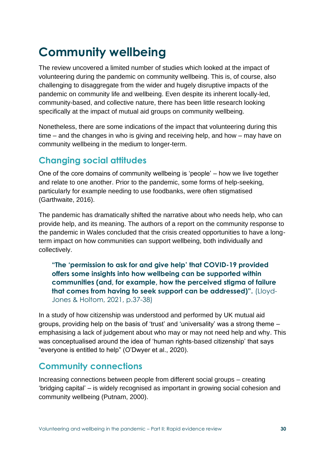# **Community wellbeing**

The review uncovered a limited number of studies which looked at the impact of volunteering during the pandemic on community wellbeing. This is, of course, also challenging to disaggregate from the wider and hugely disruptive impacts of the pandemic on community life and wellbeing. Even despite its inherent locally-led, community-based, and collective nature, there has been little research looking specifically at the impact of mutual aid groups on community wellbeing.

Nonetheless, there are some indications of the impact that volunteering during this time – and the changes in who is giving and receiving help, and how – may have on community wellbeing in the medium to longer-term.

## **Changing social attitudes**

One of the core domains of community wellbeing is 'people' – how we live together and relate to one another. Prior to the pandemic, some forms of help-seeking, particularly for example needing to use foodbanks, were often stigmatised (Garthwaite, 2016).

The pandemic has dramatically shifted the narrative about who needs help, who can provide help, and its meaning. The authors of a report on the community response to the pandemic in Wales concluded that the crisis created opportunities to have a longterm impact on how communities can support wellbeing, both individually and collectively.

**"The 'permission to ask for and give help' that COVID-19 provided offers some insights into how wellbeing can be supported within communities (and, for example, how the perceived stigma of failure that comes from having to seek support can be addressed)".** (Lloyd-Jones & Holtom, 2021, p.37-38)

In a study of how citizenship was understood and performed by UK mutual aid groups, providing help on the basis of 'trust' and 'universality' was a strong theme – emphasising a lack of judgement about who may or may not need help and why. This was conceptualised around the idea of 'human rights-based citizenship' that says "everyone is entitled to help" (O'Dwyer et al., 2020).

## **Community connections**

Increasing connections between people from different social groups – creating 'bridging capital' – is widely recognised as important in growing social cohesion and community wellbeing (Putnam, 2000).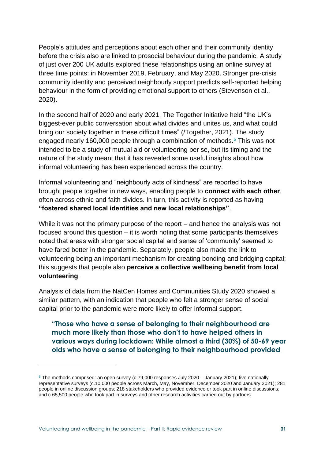People's attitudes and perceptions about each other and their community identity before the crisis also are linked to prosocial behaviour during the pandemic. A study of just over 200 UK adults explored these relationships using an online survey at three time points: in November 2019, February, and May 2020. Stronger pre-crisis community identity and perceived neighbourly support predicts self-reported helping behaviour in the form of providing emotional support to others (Stevenson et al., 2020).

In the second half of 2020 and early 2021, The Together Initiative held "the UK's biggest-ever public conversation about what divides and unites us, and what could bring our society together in these difficult times" (/Together, 2021). The study engaged nearly 160,000 people through a combination of methods.**<sup>5</sup>** This was not intended to be a study of mutual aid or volunteering per se, but its timing and the nature of the study meant that it has revealed some useful insights about how informal volunteering has been experienced across the country.

Informal volunteering and "neighbourly acts of kindness" are reported to have brought people together in new ways, enabling people to **connect with each other**, often across ethnic and faith divides. In turn, this activity is reported as having **"fostered shared local identities and new local relationships"**.

While it was not the primary purpose of the report – and hence the analysis was not focused around this question – it is worth noting that some participants themselves noted that areas with stronger social capital and sense of 'community' seemed to have fared better in the pandemic. Separately, people also made the link to volunteering being an important mechanism for creating bonding and bridging capital; this suggests that people also **perceive a collective wellbeing benefit from local volunteering**.

Analysis of data from the NatCen Homes and Communities Study 2020 showed a similar pattern, with an indication that people who felt a stronger sense of social capital prior to the pandemic were more likely to offer informal support.

**"Those who have a sense of belonging to their neighbourhood are much more likely than those who don't to have helped others in various ways during lockdown: While almost a third (30%) of 50-69 year olds who have a sense of belonging to their neighbourhood provided** 

**<sup>5</sup>** The methods comprised: an open survey (c.79,000 responses July 2020 – January 2021); five nationally representative surveys (c.10,000 people across March, May, November, December 2020 and January 2021); 281 people in online discussion groups; 218 stakeholders who provided evidence or took part in online discussions; and c.65,500 people who took part in surveys and other research activities carried out by partners.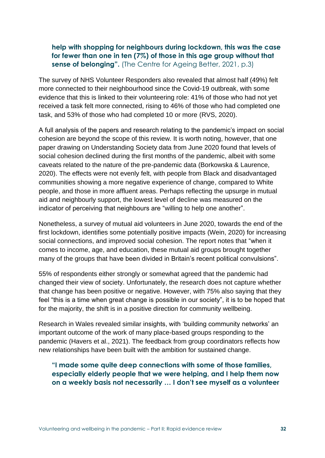### **help with shopping for neighbours during lockdown, this was the case for fewer than one in ten (7%) of those in this age group without that sense of belonging".** (The Centre for Ageing Better, 2021, p.3)

The survey of NHS Volunteer Responders also revealed that almost half (49%) felt more connected to their neighbourhood since the Covid-19 outbreak, with some evidence that this is linked to their volunteering role: 41% of those who had not yet received a task felt more connected, rising to 46% of those who had completed one task, and 53% of those who had completed 10 or more (RVS, 2020).

A full analysis of the papers and research relating to the pandemic's impact on social cohesion are beyond the scope of this review. It is worth noting, however, that one paper drawing on Understanding Society data from June 2020 found that levels of social cohesion declined during the first months of the pandemic, albeit with some caveats related to the nature of the pre-pandemic data (Borkowska & Laurence, 2020). The effects were not evenly felt, with people from Black and disadvantaged communities showing a more negative experience of change, compared to White people, and those in more affluent areas. Perhaps reflecting the upsurge in mutual aid and neighbourly support, the lowest level of decline was measured on the indicator of perceiving that neighbours are "willing to help one another".

Nonetheless, a survey of mutual aid volunteers in June 2020, towards the end of the first lockdown, identifies some potentially positive impacts (Wein, 2020) for increasing social connections, and improved social cohesion. The report notes that "when it comes to income, age, and education, these mutual aid groups brought together many of the groups that have been divided in Britain's recent political convulsions".

55% of respondents either strongly or somewhat agreed that the pandemic had changed their view of society. Unfortunately, the research does not capture whether that change has been positive or negative. However, with 75% also saying that they feel "this is a time when great change is possible in our society", it is to be hoped that for the majority, the shift is in a positive direction for community wellbeing.

Research in Wales revealed similar insights, with 'building community networks' an important outcome of the work of many place-based groups responding to the pandemic (Havers et al., 2021). The feedback from group coordinators reflects how new relationships have been built with the ambition for sustained change.

### **"I made some quite deep connections with some of those families, especially elderly people that we were helping, and I help them now on a weekly basis not necessarily … I don't see myself as a volunteer**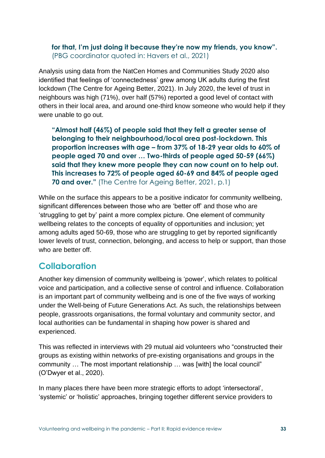### **for that, I'm just doing it because they're now my friends, you know".**  (PBG coordinator quoted in: Havers et al., 2021)

Analysis using data from the NatCen Homes and Communities Study 2020 also identified that feelings of 'connectedness' grew among UK adults during the first lockdown (The Centre for Ageing Better, 2021). In July 2020, the level of trust in neighbours was high (71%), over half (57%) reported a good level of contact with others in their local area, and around one-third know someone who would help if they were unable to go out.

**"Almost half (46%) of people said that they felt a greater sense of belonging to their neighbourhood/local area post-lockdown. This proportion increases with age – from 37% of 18-29 year olds to 60% of people aged 70 and over … Two-thirds of people aged 50-59 (66%) said that they knew more people they can now count on to help out. This increases to 72% of people aged 60-69 and 84% of people aged 70 and over."** (The Centre for Ageing Better, 2021, p.1)

While on the surface this appears to be a positive indicator for community wellbeing, significant differences between those who are 'better off' and those who are 'struggling to get by' paint a more complex picture. One element of community wellbeing relates to the concepts of equality of opportunities and inclusion; yet among adults aged 50-69, those who are struggling to get by reported significantly lower levels of trust, connection, belonging, and access to help or support, than those who are better off.

## **Collaboration**

Another key dimension of community wellbeing is 'power', which relates to political voice and participation, and a collective sense of control and influence. Collaboration is an important part of community wellbeing and is one of the five ways of working under the Well-being of Future Generations Act. As such, the relationships between people, grassroots organisations, the formal voluntary and community sector, and local authorities can be fundamental in shaping how power is shared and experienced.

This was reflected in interviews with 29 mutual aid volunteers who "constructed their groups as existing within networks of pre-existing organisations and groups in the community … The most important relationship … was [with] the local council" (O'Dwyer et al., 2020).

In many places there have been more strategic efforts to adopt 'intersectoral', 'systemic' or 'holistic' approaches, bringing together different service providers to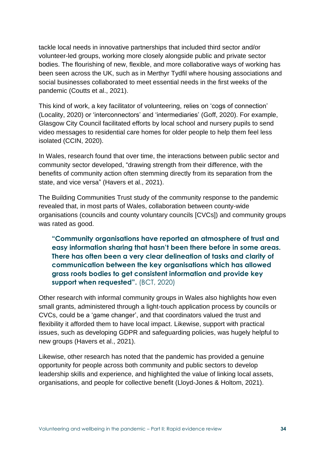tackle local needs in innovative partnerships that included third sector and/or volunteer-led groups, working more closely alongside public and private sector bodies. The flourishing of new, flexible, and more collaborative ways of working has been seen across the UK, such as in Merthyr Tydfil where housing associations and social businesses collaborated to meet essential needs in the first weeks of the pandemic (Coutts et al., 2021).

This kind of work, a key facilitator of volunteering, relies on 'cogs of connection' (Locality, 2020) or 'interconnectors' and 'intermediaries' (Goff, 2020). For example, Glasgow City Council facilitated efforts by local school and nursery pupils to send video messages to residential care homes for older people to help them feel less isolated (CCIN, 2020).

In Wales, research found that over time, the interactions between public sector and community sector developed, "drawing strength from their difference, with the benefits of community action often stemming directly from its separation from the state, and vice versa" (Havers et al., 2021).

The Building Communities Trust study of the community response to the pandemic revealed that, in most parts of Wales, collaboration between county-wide organisations (councils and county voluntary councils [CVCs]) and community groups was rated as good.

**"Community organisations have reported an atmosphere of trust and easy information sharing that hasn't been there before in some areas. There has often been a very clear delineation of tasks and clarity of communication between the key organisations which has allowed grass roots bodies to get consistent information and provide key support when requested".** (BCT, 2020)

Other research with informal community groups in Wales also highlights how even small grants, administered through a light-touch application process by councils or CVCs, could be a 'game changer', and that coordinators valued the trust and flexibility it afforded them to have local impact. Likewise, support with practical issues, such as developing GDPR and safeguarding policies, was hugely helpful to new groups (Havers et al., 2021).

Likewise, other research has noted that the pandemic has provided a genuine opportunity for people across both community and public sectors to develop leadership skills and experience, and highlighted the value of linking local assets, organisations, and people for collective benefit (Lloyd-Jones & Holtom, 2021).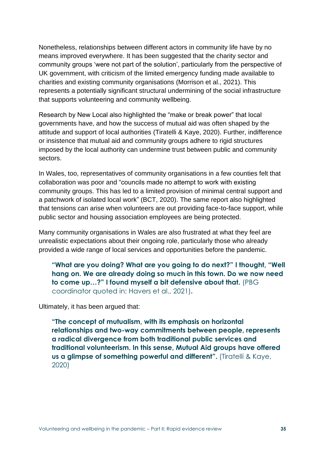Nonetheless, relationships between different actors in community life have by no means improved everywhere. It has been suggested that the charity sector and community groups 'were not part of the solution', particularly from the perspective of UK government, with criticism of the limited emergency funding made available to charities and existing community organisations (Morrison et al., 2021). This represents a potentially significant structural undermining of the social infrastructure that supports volunteering and community wellbeing.

Research by New Local also highlighted the "make or break power" that local governments have, and how the success of mutual aid was often shaped by the attitude and support of local authorities (Tiratelli & Kaye, 2020). Further, indifference or insistence that mutual aid and community groups adhere to rigid structures imposed by the local authority can undermine trust between public and community sectors.

In Wales, too, representatives of community organisations in a few counties felt that collaboration was poor and "councils made no attempt to work with existing community groups. This has led to a limited provision of minimal central support and a patchwork of isolated local work" (BCT, 2020). The same report also highlighted that tensions can arise when volunteers are out providing face-to-face support, while public sector and housing association employees are being protected.

Many community organisations in Wales are also frustrated at what they feel are unrealistic expectations about their ongoing role, particularly those who already provided a wide range of local services and opportunities before the pandemic.

**"What are you doing? What are you going to do next?" I thought, "Well hang on. We are already doing so much in this town. Do we now need to come up…?" I found myself a bit defensive about that.** (PBG coordinator quoted in: Havers et al., 2021)**.**

Ultimately, it has been argued that:

**"The concept of mutualism, with its emphasis on horizontal relationships and two-way commitments between people, represents a radical divergence from both traditional public services and traditional volunteerism. In this sense, Mutual Aid groups have offered us a glimpse of something powerful and different".** (Tiratelli & Kaye, 2020)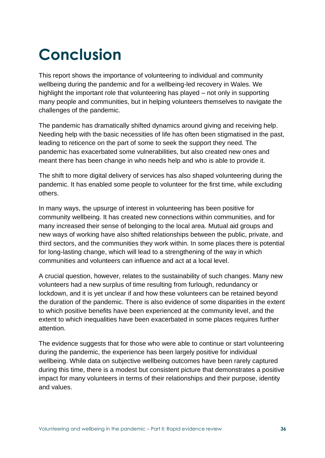# **Conclusion**

This report shows the importance of volunteering to individual and community wellbeing during the pandemic and for a wellbeing-led recovery in Wales. We highlight the important role that volunteering has played – not only in supporting many people and communities, but in helping volunteers themselves to navigate the challenges of the pandemic.

The pandemic has dramatically shifted dynamics around giving and receiving help. Needing help with the basic necessities of life has often been stigmatised in the past, leading to reticence on the part of some to seek the support they need. The pandemic has exacerbated some vulnerabilities, but also created new ones and meant there has been change in who needs help and who is able to provide it.

The shift to more digital delivery of services has also shaped volunteering during the pandemic. It has enabled some people to volunteer for the first time, while excluding others.

In many ways, the upsurge of interest in volunteering has been positive for community wellbeing. It has created new connections within communities, and for many increased their sense of belonging to the local area. Mutual aid groups and new ways of working have also shifted relationships between the public, private, and third sectors, and the communities they work within. In some places there is potential for long-lasting change, which will lead to a strengthening of the way in which communities and volunteers can influence and act at a local level.

A crucial question, however, relates to the sustainability of such changes. Many new volunteers had a new surplus of time resulting from furlough, redundancy or lockdown, and it is yet unclear if and how these volunteers can be retained beyond the duration of the pandemic. There is also evidence of some disparities in the extent to which positive benefits have been experienced at the community level, and the extent to which inequalities have been exacerbated in some places requires further attention.

The evidence suggests that for those who were able to continue or start volunteering during the pandemic, the experience has been largely positive for individual wellbeing. While data on subjective wellbeing outcomes have been rarely captured during this time, there is a modest but consistent picture that demonstrates a positive impact for many volunteers in terms of their relationships and their purpose, identity and values.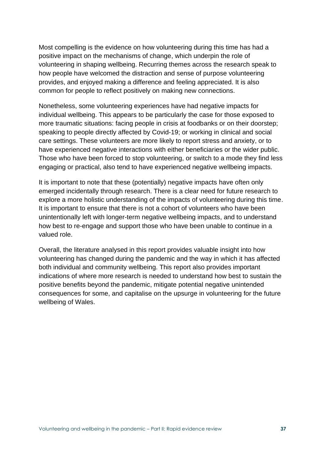Most compelling is the evidence on how volunteering during this time has had a positive impact on the mechanisms of change, which underpin the role of volunteering in shaping wellbeing. Recurring themes across the research speak to how people have welcomed the distraction and sense of purpose volunteering provides, and enjoyed making a difference and feeling appreciated. It is also common for people to reflect positively on making new connections.

Nonetheless, some volunteering experiences have had negative impacts for individual wellbeing. This appears to be particularly the case for those exposed to more traumatic situations: facing people in crisis at foodbanks or on their doorstep; speaking to people directly affected by Covid-19; or working in clinical and social care settings. These volunteers are more likely to report stress and anxiety, or to have experienced negative interactions with either beneficiaries or the wider public. Those who have been forced to stop volunteering, or switch to a mode they find less engaging or practical, also tend to have experienced negative wellbeing impacts.

It is important to note that these (potentially) negative impacts have often only emerged incidentally through research. There is a clear need for future research to explore a more holistic understanding of the impacts of volunteering during this time. It is important to ensure that there is not a cohort of volunteers who have been unintentionally left with longer-term negative wellbeing impacts, and to understand how best to re-engage and support those who have been unable to continue in a valued role.

Overall, the literature analysed in this report provides valuable insight into how volunteering has changed during the pandemic and the way in which it has affected both individual and community wellbeing. This report also provides important indications of where more research is needed to understand how best to sustain the positive benefits beyond the pandemic, mitigate potential negative unintended consequences for some, and capitalise on the upsurge in volunteering for the future wellbeing of Wales.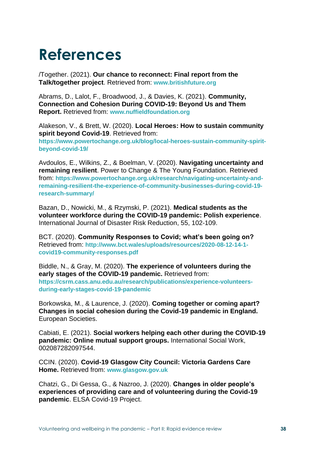# **References**

/Together. (2021). **Our chance to reconnect: Final report from the Talk/together project**. Retrieved from: **www.britishfuture.org**

Abrams, D., Lalot, F., Broadwood, J., & Davies, K. (2021). **Community, Connection and Cohesion During COVID-19: Beyond Us and Them Report.** Retrieved from: **www.nuffieldfoundation.org**

Alakeson, V., & Brett, W. (2020). **Local Heroes: How to sustain community spirit beyond Covid-19**. Retrieved from: **https://www.powertochange.org.uk/blog/local-heroes-sustain-community-spiritbeyond-covid-19/**

Avdoulos, E., Wilkins, Z., & Boelman, V. (2020). **Navigating uncertainty and remaining resilient**. Power to Change & The Young Foundation. Retrieved from: **https://www.powertochange.org.uk/research/navigating-uncertainty-andremaining-resilient-the-experience-of-community-businesses-during-covid-19 research-summary/**

Bazan, D., Nowicki, M., & Rzymski, P. (2021). **Medical students as the volunteer workforce during the COVID-19 pandemic: Polish experience**. International Journal of Disaster Risk Reduction, 55, 102-109.

BCT. (2020). **Community Responses to Covid; what's been going on?** Retrieved from: **http://www.bct.wales/uploads/resources/2020-08-12-14-1 covid19-community-responses.pdf**

Biddle, N., & Gray, M. (2020). **The experience of volunteers during the early stages of the COVID-19 pandemic.** Retrieved from: **https://csrm.cass.anu.edu.au/research/publications/experience-volunteersduring-early-stages-covid-19-pandemic**

Borkowska, M., & Laurence, J. (2020). **Coming together or coming apart? Changes in social cohesion during the Covid-19 pandemic in England.** European Societies.

Cabiati, E. (2021). **Social workers helping each other during the COVID-19 pandemic: Online mutual support groups.** International Social Work, 002087282097544.

CCIN. (2020). **Covid-19 Glasgow City Council: Victoria Gardens Care Home.** Retrieved from: **www.glasgow.gov.uk**

Chatzi, G., Di Gessa, G., & Nazroo, J. (2020). **Changes in older people's experiences of providing care and of volunteering during the Covid-19 pandemic**. ELSA Covid-19 Project.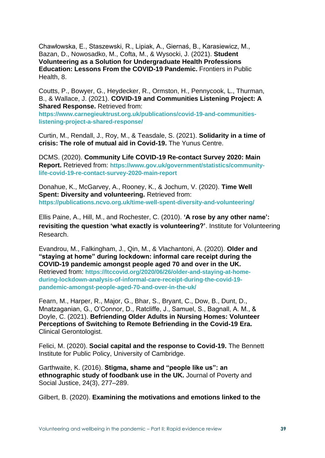Chawłowska, E., Staszewski, R., Lipiak, A., Giernaś, B., Karasiewicz, M., Bazan, D., Nowosadko, M., Cofta, M., & Wysocki, J. (2021). **Student Volunteering as a Solution for Undergraduate Health Professions Education: Lessons From the COVID-19 Pandemic.** Frontiers in Public Health, 8.

Coutts, P., Bowyer, G., Heydecker, R., Ormston, H., Pennycook, L., Thurman, B., & Wallace, J. (2021). **COVID-19 and Communities Listening Project: A Shared Response.** Retrieved from:

**https://www.carnegieuktrust.org.uk/publications/covid-19-and-communitieslistening-project-a-shared-response/**

Curtin, M., Rendall, J., Roy, M., & Teasdale, S. (2021). **Solidarity in a time of crisis: The role of mutual aid in Covid-19.** The Yunus Centre.

DCMS. (2020). **Community Life COVID-19 Re-contact Survey 2020: Main Report.** Retrieved from: **https://www.gov.uk/government/statistics/communitylife-covid-19-re-contact-survey-2020-main-report**

Donahue, K., McGarvey, A., Rooney, K., & Jochum, V. (2020). **Time Well Spent: Diversity and volunteering.** Retrieved from: **https://publications.ncvo.org.uk/time-well-spent-diversity-and-volunteering/**

Ellis Paine, A., Hill, M., and Rochester, C. (2010). **'A rose by any other name': revisiting the question 'what exactly is volunteering?'**. Institute for Volunteering Research.

Evandrou, M., Falkingham, J., Qin, M., & Vlachantoni, A. (2020). **Older and "staying at home" during lockdown: informal care receipt during the COVID-19 pandemic amongst people aged 70 and over in the UK.** Retrieved from: **https://ltccovid.org/2020/06/26/older-and-staying-at-homeduring-lockdown-analysis-of-informal-care-receipt-during-the-covid-19 pandemic-amongst-people-aged-70-and-over-in-the-uk/**

Fearn, M., Harper, R., Major, G., Bhar, S., Bryant, C., Dow, B., Dunt, D., Mnatzaganian, G., O'Connor, D., Ratcliffe, J., Samuel, S., Bagnall, A. M., & Doyle, C. (2021). **Befriending Older Adults in Nursing Homes: Volunteer Perceptions of Switching to Remote Befriending in the Covid-19 Era.**  Clinical Gerontologist.

Felici, M. (2020). **Social capital and the response to Covid-19.** The Bennett Institute for Public Policy, University of Cambridge.

Garthwaite, K. (2016). **Stigma, shame and "people like us": an ethnographic study of foodbank use in the UK.** Journal of Poverty and Social Justice, 24(3), 277–289.

Gilbert, B. (2020). **Examining the motivations and emotions linked to the**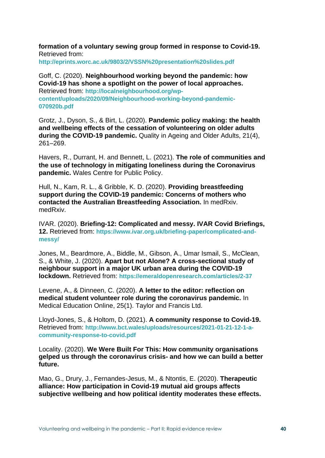**formation of a voluntary sewing group formed in response to Covid-19.** Retrieved from:

**http://eprints.worc.ac.uk/9803/2/VSSN%20presentation%20slides.pdf**

Goff, C. (2020). **Neighbourhood working beyond the pandemic: how Covid-19 has shone a spotlight on the power of local approaches.**  Retrieved from: **http://localneighbourhood.org/wpcontent/uploads/2020/09/Neighbourhood-working-beyond-pandemic-070920b.pdf**

Grotz, J., Dyson, S., & Birt, L. (2020). **Pandemic policy making: the health and wellbeing effects of the cessation of volunteering on older adults during the COVID-19 pandemic.** Quality in Ageing and Older Adults, 21(4), 261–269.

Havers, R., Durrant, H. and Bennett, L. (2021). **The role of communities and the use of technology in mitigating loneliness during the Coronavirus pandemic.** Wales Centre for Public Policy.

Hull, N., Kam, R. L., & Gribble, K. D. (2020). **Providing breastfeeding support during the COVID-19 pandemic: Concerns of mothers who contacted the Australian Breastfeeding Association.** In medRxiv. medRxiv.

IVAR. (2020). **Briefing-12: Complicated and messy. IVAR Covid Briefings, 12.** Retrieved from: **https://www.ivar.org.uk/briefing-paper/complicated-andmessy/**

Jones, M., Beardmore, A., Biddle, M., Gibson, A., Umar Ismail, S., McClean, S., & White, J. (2020). **Apart but not Alone? A cross-sectional study of neighbour support in a major UK urban area during the COVID-19 lockdown.** Retrieved from: **https://emeraldopenresearch.com/articles/2-37**

Levene, A., & Dinneen, C. (2020). **A letter to the editor: reflection on medical student volunteer role during the coronavirus pandemic.** In Medical Education Online, 25(1). Taylor and Francis Ltd.

Lloyd-Jones, S., & Holtom, D. (2021). **A community response to Covid-19.** Retrieved from: **http://www.bct.wales/uploads/resources/2021-01-21-12-1-acommunity-response-to-covid.pdf**

Locality. (2020). **We Were Built For This: How community organisations gelped us through the coronavirus crisis- and how we can build a better future.**

Mao, G., Drury, J., Fernandes-Jesus, M., & Ntontis, E. (2020). **Therapeutic alliance: How participation in Covid-19 mutual aid groups affects subjective wellbeing and how political identity moderates these effects.**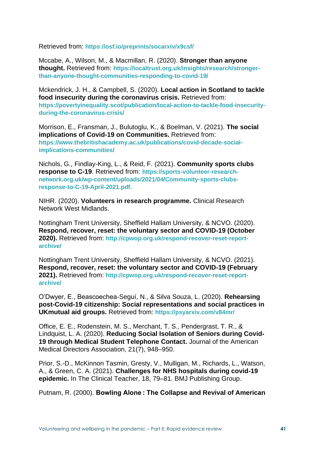Retrieved from: **https://osf.io/preprints/socarxiv/x9csf/**

Mccabe, A., Wilson, M., & Macmillan, R. (2020). **Stronger than anyone thought.** Retrieved from: **https://localtrust.org.uk/insights/research/strongerthan-anyone-thought-communities-responding-to-covid-19/**

Mckendrick, J. H., & Campbell, S. (2020). **Local action in Scotland to tackle food insecurity during the coronavirus crisis.** Retrieved from: **https://povertyinequality.scot/publication/local-action-to-tackle-food-insecurityduring-the-coronavirus-crisis/**

Morrison, E., Fransman, J., Bulutoglu, K., & Boelman, V. (2021). **The social implications of Covid-19 on Communities.** Retrieved from: **https://www.thebritishacademy.ac.uk/publications/covid-decade-socialimplications-communities/**

Nichols, G., Findlay-King, L., & Reid, F. (2021). **Community sports clubs response to C-19**. Retrieved from: **[https://sports-volunteer-research](https://linkprotect.cudasvc.com/url?a=https%3a%2f%2fsports-volunteer-research-network.org.uk%2fwp-content%2fuploads%2f2021%2f04%2fCommunity-sports-clubs-response-to-C-19-April-2021.pdf&c=E,1,R1qxZtxmOVzTYJqhcuJVJsTVO6n9rE3y-K6UtulNKuei7WrEq0zh5Yw7Jx4Ed8UWARDXDxWt266rHtSGJkX1vsBpUnZEPkBD28bpcLiEy_PsAeU,&typo=1)[network.org.uk/wp-content/uploads/2021/04/Community-sports-clubs](https://linkprotect.cudasvc.com/url?a=https%3a%2f%2fsports-volunteer-research-network.org.uk%2fwp-content%2fuploads%2f2021%2f04%2fCommunity-sports-clubs-response-to-C-19-April-2021.pdf&c=E,1,R1qxZtxmOVzTYJqhcuJVJsTVO6n9rE3y-K6UtulNKuei7WrEq0zh5Yw7Jx4Ed8UWARDXDxWt266rHtSGJkX1vsBpUnZEPkBD28bpcLiEy_PsAeU,&typo=1)[response-to-C-19-April-2021.pdf.](https://linkprotect.cudasvc.com/url?a=https%3a%2f%2fsports-volunteer-research-network.org.uk%2fwp-content%2fuploads%2f2021%2f04%2fCommunity-sports-clubs-response-to-C-19-April-2021.pdf&c=E,1,R1qxZtxmOVzTYJqhcuJVJsTVO6n9rE3y-K6UtulNKuei7WrEq0zh5Yw7Jx4Ed8UWARDXDxWt266rHtSGJkX1vsBpUnZEPkBD28bpcLiEy_PsAeU,&typo=1)** 

NIHR. (2020). **Volunteers in research programme.** Clinical Research Network West Midlands.

Nottingham Trent University, Sheffield Hallam University, & NCVO. (2020). **Respond, recover, reset: the voluntary sector and COVID-19 (October 2020).** Retrieved from: **http://cpwop.org.uk/respond-recover-reset-reportarchive/**

Nottingham Trent University, Sheffield Hallam University, & NCVO. (2021). **Respond, recover, reset: the voluntary sector and COVID-19 (February 2021).** Retrieved from: **http://cpwop.org.uk/respond-recover-reset-reportarchive/**

O'Dwyer, E., Beascoechea-Seguí, N., & Silva Souza, L. (2020). **Rehearsing post-Covid-19 citizenship: Social representations and social practices in UKmutual aid groups.** Retrieved from: **https://psyarxiv.com/v84mr/**

Office, E. E., Rodenstein, M. S., Merchant, T. S., Pendergrast, T. R., & Lindquist, L. A. (2020). **Reducing Social Isolation of Seniors during Covid-19 through Medical Student Telephone Contact.** Journal of the American Medical Directors Association, 21(7), 948–950.

Prior, S.-D., McKinnon Tasmin, Gresty, V., Mulligan, M., Richards, L., Watson, A., & Green, C. A. (2021). **Challenges for NHS hospitals during covid-19 epidemic.** In The Clinical Teacher, 18, 79–81. BMJ Publishing Group.

Putnam, R. (2000). **Bowling Alone : The Collapse and Revival of American**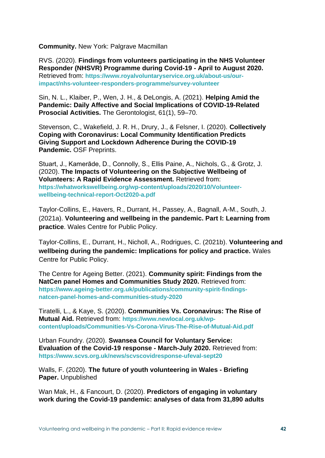**Community.** New York: Palgrave Macmillan

RVS. (2020). **Findings from volunteers participating in the NHS Volunteer Responder (NHSVR) Programme during Covid-19 - April to August 2020.** Retrieved from: **https://www.royalvoluntaryservice.org.uk/about-us/ourimpact/nhs-volunteer-responders-programme/survey-volunteer**

Sin, N. L., Klaiber, P., Wen, J. H., & DeLongis, A. (2021). **Helping Amid the Pandemic: Daily Affective and Social Implications of COVID-19-Related Prosocial Activities.** The Gerontologist, 61(1), 59–70.

Stevenson, C., Wakefield, J. R. H., Drury, J., & Felsner, I. (2020). **Collectively Coping with Coronavirus: Local Community Identification Predicts Giving Support and Lockdown Adherence During the COVID-19 Pandemic.** OSF Preprints.

Stuart, J., Kamerāde, D., Connolly, S., Ellis Paine, A., Nichols, G., & Grotz, J. (2020). **The Impacts of Volunteering on the Subjective Wellbeing of Volunteers: A Rapid Evidence Assessment.** Retrieved from: **https://whatworkswellbeing.org/wp-content/uploads/2020/10/Volunteerwellbeing-technical-report-Oct2020-a.pdf**

Taylor-Collins, E., Havers, R., Durrant, H., Passey, A., Bagnall, A-M., South, J. (2021a). **Volunteering and wellbeing in the pandemic. Part I: Learning from practice**. Wales Centre for Public Policy.

Taylor-Collins, E., Durrant, H., Nicholl, A., Rodrigues, C. (2021b). **Volunteering and wellbeing during the pandemic: Implications for policy and practice.** Wales Centre for Public Policy.

The Centre for Ageing Better. (2021). **Community spirit: Findings from the NatCen panel Homes and Communities Study 2020.** Retrieved from: **https://www.ageing-better.org.uk/publications/community-spirit-findingsnatcen-panel-homes-and-communities-study-2020**

Tiratelli, L., & Kaye, S. (2020). **Communities Vs. Coronavirus: The Rise of Mutual Aid.** Retrieved from: **https://www.newlocal.org.uk/wpcontent/uploads/Communities-Vs-Corona-Virus-The-Rise-of-Mutual-Aid.pdf**

Urban Foundry. (2020). **Swansea Council for Voluntary Service: Evaluation of the Covid-19 response - March-July 2020.** Retrieved from: **https://www.scvs.org.uk/news/scvscovidresponse-ufeval-sept20**

Walls, F. (2020). **The future of youth volunteering in Wales - Briefing Paper.** Unpublished

Wan Mak, H., & Fancourt, D. (2020). **Predictors of engaging in voluntary work during the Covid-19 pandemic: analyses of data from 31,890 adults**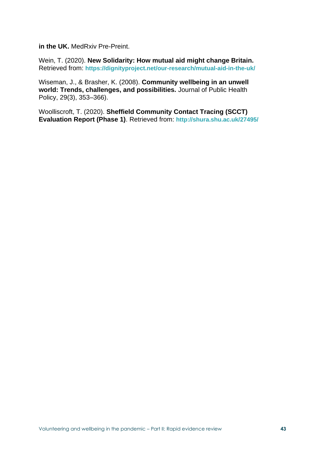**in the UK.** MedRxiv Pre-Preint.

Wein, T. (2020). **New Solidarity: How mutual aid might change Britain.** Retrieved from: **https://dignityproject.net/our-research/mutual-aid-in-the-uk/**

Wiseman, J., & Brasher, K. (2008). **Community wellbeing in an unwell world: Trends, challenges, and possibilities.** Journal of Public Health Policy, 29(3), 353–366).

Woolliscroft, T. (2020). **Sheffield Community Contact Tracing (SCCT) Evaluation Report (Phase 1)**. Retrieved from: **http://shura.shu.ac.uk/27495/**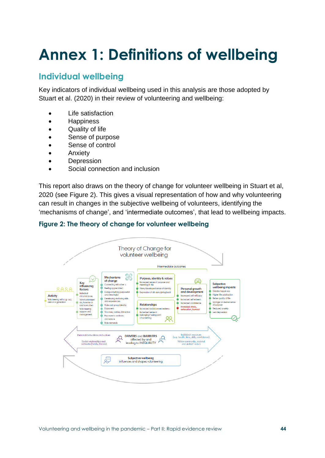# **Annex 1: Definitions of wellbeing**

# **Individual wellbeing**

Key indicators of individual wellbeing used in this analysis are those adopted by Stuart et al. (2020) in their review of volunteering and wellbeing:

- Life satisfaction
- Happiness
- Quality of life
- Sense of purpose
- Sense of control
- Anxiety
- Depression
- Social connection and inclusion

This report also draws on the theory of change for volunteer wellbeing in Stuart et al, 2020 (see Figure 2). This gives a visual representation of how and why volunteering can result in changes in the subjective wellbeing of volunteers, identifying the 'mechanisms of change', and 'intermediate outcomes', that lead to wellbeing impacts.



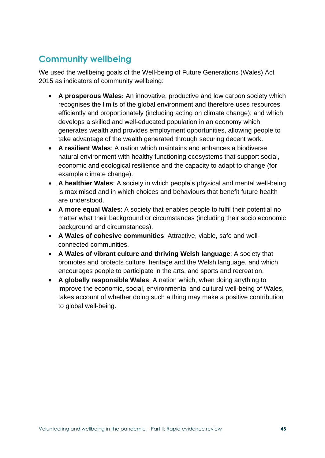# **Community wellbeing**

We used the wellbeing goals of the Well-being of Future Generations (Wales) Act 2015 as indicators of community wellbeing:

- **A prosperous Wales:** An innovative, productive and low carbon society which recognises the limits of the global environment and therefore uses resources efficiently and proportionately (including acting on climate change); and which develops a skilled and well-educated population in an economy which generates wealth and provides employment opportunities, allowing people to take advantage of the wealth generated through securing decent work.
- **A resilient Wales**: A nation which maintains and enhances a biodiverse natural environment with healthy functioning ecosystems that support social, economic and ecological resilience and the capacity to adapt to change (for example climate change).
- **A healthier Wales**: A society in which people's physical and mental well-being is maximised and in which choices and behaviours that benefit future health are understood.
- **A more equal Wales**: A society that enables people to fulfil their potential no matter what their background or circumstances (including their socio economic background and circumstances).
- **A Wales of cohesive communities**: Attractive, viable, safe and wellconnected communities.
- **A Wales of vibrant culture and thriving Welsh language**: A society that promotes and protects culture, heritage and the Welsh language, and which encourages people to participate in the arts, and sports and recreation.
- **A globally responsible Wales**: A nation which, when doing anything to improve the economic, social, environmental and cultural well-being of Wales, takes account of whether doing such a thing may make a positive contribution to global well-being.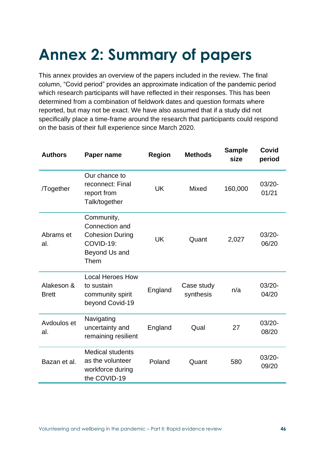# **Annex 2: Summary of papers**

This annex provides an overview of the papers included in the review. The final column, "Covid period" provides an approximate indication of the pandemic period which research participants will have reflected in their responses. This has been determined from a combination of fieldwork dates and question formats where reported, but may not be exact. We have also assumed that if a study did not specifically place a time-frame around the research that participants could respond on the basis of their full experience since March 2020.

| <b>Authors</b>             | Paper name                                                                                   | <b>Region</b> | <b>Methods</b>          | <b>Sample</b><br>size | <b>Covid</b><br>period |
|----------------------------|----------------------------------------------------------------------------------------------|---------------|-------------------------|-----------------------|------------------------|
| /Together                  | Our chance to<br>reconnect: Final<br>report from<br>Talk/together                            | <b>UK</b>     | <b>Mixed</b>            | 160,000               | $03/20 -$<br>01/21     |
| Abrams et<br>al.           | Community,<br>Connection and<br><b>Cohesion During</b><br>COVID-19:<br>Beyond Us and<br>Them | <b>UK</b>     | Quant                   | 2,027                 | $03/20 -$<br>06/20     |
| Alakeson &<br><b>Brett</b> | <b>Local Heroes How</b><br>to sustain<br>community spirit<br>beyond Covid-19                 | England       | Case study<br>synthesis | n/a                   | $03/20 -$<br>04/20     |
| Avdoulos et<br>al.         | Navigating<br>uncertainty and<br>remaining resilient                                         | England       | Qual                    | 27                    | $03/20 -$<br>08/20     |
| Bazan et al.               | <b>Medical students</b><br>as the volunteer<br>workforce during<br>the COVID-19              | Poland        | Quant                   | 580                   | $03/20 -$<br>09/20     |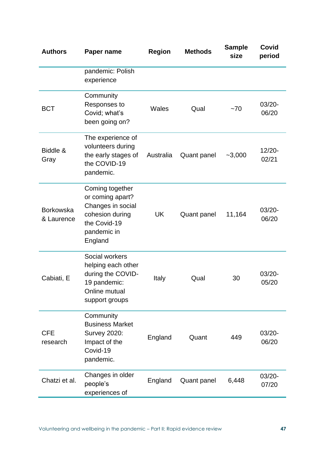| <b>Authors</b>                 | Paper name                                                                                                            | <b>Region</b> | <b>Methods</b>     | <b>Sample</b><br>size | Covid<br>period    |
|--------------------------------|-----------------------------------------------------------------------------------------------------------------------|---------------|--------------------|-----------------------|--------------------|
|                                | pandemic: Polish<br>experience                                                                                        |               |                    |                       |                    |
| <b>BCT</b>                     | Community<br>Responses to<br>Covid; what's<br>been going on?                                                          | <b>Wales</b>  | Qual               | $-70$                 | $03/20 -$<br>06/20 |
| Biddle &<br>Gray               | The experience of<br>volunteers during<br>the early stages of<br>the COVID-19<br>pandemic.                            | Australia     | Quant panel        | $-3,000$              | $12/20 -$<br>02/21 |
| <b>Borkowska</b><br>& Laurence | Coming together<br>or coming apart?<br>Changes in social<br>cohesion during<br>the Covid-19<br>pandemic in<br>England | UK            | <b>Quant panel</b> | 11,164                | $03/20 -$<br>06/20 |
| Cabiati, E                     | Social workers<br>helping each other<br>during the COVID-<br>19 pandemic:<br>Online mutual<br>support groups          | <b>Italy</b>  | Qual               | 30                    | $03/20 -$<br>05/20 |
| <b>CFE</b><br>research         | Community<br><b>Business Market</b><br><b>Survey 2020:</b><br>Impact of the<br>Covid-19<br>pandemic.                  | England       | Quant              | 449                   | $03/20 -$<br>06/20 |
| Chatzi et al.                  | Changes in older<br>people's<br>experiences of                                                                        | England       | Quant panel        | 6,448                 | $03/20 -$<br>07/20 |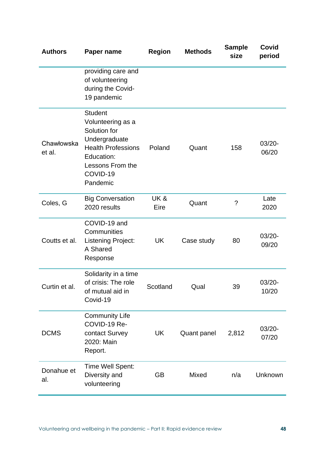| <b>Authors</b>       | Paper name                                                                                                                                                  | <b>Region</b>          | <b>Methods</b> | <b>Sample</b><br>size | Covid<br>period    |
|----------------------|-------------------------------------------------------------------------------------------------------------------------------------------------------------|------------------------|----------------|-----------------------|--------------------|
|                      | providing care and<br>of volunteering<br>during the Covid-<br>19 pandemic                                                                                   |                        |                |                       |                    |
| Chawłowska<br>et al. | <b>Student</b><br>Volunteering as a<br>Solution for<br>Undergraduate<br><b>Health Professions</b><br>Education:<br>Lessons From the<br>COVID-19<br>Pandemic | Poland                 | Quant          | 158                   | $03/20 -$<br>06/20 |
| Coles, G             | <b>Big Conversation</b><br>2020 results                                                                                                                     | <b>UK&amp;</b><br>Eire | Quant          | ?                     | Late<br>2020       |
| Coutts et al.        | COVID-19 and<br>Communities<br><b>Listening Project:</b><br>A Shared<br>Response                                                                            | UK                     | Case study     | 80                    | $03/20 -$<br>09/20 |
| Curtin et al.        | Solidarity in a time<br>of crisis: The role<br>of mutual aid in<br>Covid-19                                                                                 | Scotland               | Qual           | 39                    | $03/20 -$<br>10/20 |
| <b>DCMS</b>          | <b>Community Life</b><br>COVID-19 Re-<br>contact Survey<br>2020: Main<br>Report.                                                                            | UK                     | Quant panel    | 2,812                 | $03/20 -$<br>07/20 |
| Donahue et<br>al.    | Time Well Spent:<br>Diversity and<br>volunteering                                                                                                           | <b>GB</b>              | Mixed          | n/a                   | Unknown            |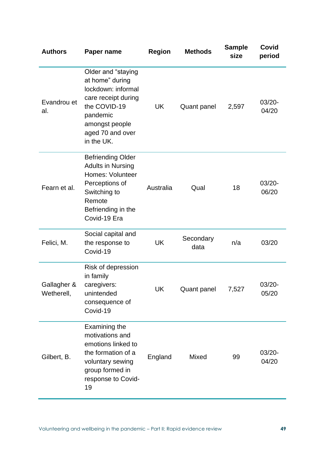| <b>Authors</b>            | Paper name                                                                                                                                                         | <b>Region</b> | <b>Methods</b>     | <b>Sample</b><br>size | Covid<br>period    |
|---------------------------|--------------------------------------------------------------------------------------------------------------------------------------------------------------------|---------------|--------------------|-----------------------|--------------------|
| Evandrou et<br>al.        | Older and "staying<br>at home" during<br>lockdown: informal<br>care receipt during<br>the COVID-19<br>pandemic<br>amongst people<br>aged 70 and over<br>in the UK. | <b>UK</b>     | <b>Quant panel</b> | 2,597                 | $03/20 -$<br>04/20 |
| Fearn et al.              | <b>Befriending Older</b><br><b>Adults in Nursing</b><br><b>Homes: Volunteer</b><br>Perceptions of<br>Switching to<br>Remote<br>Befriending in the<br>Covid-19 Era  | Australia     | Qual               | 18                    | $03/20 -$<br>06/20 |
| Felici, M.                | Social capital and<br>the response to<br>Covid-19                                                                                                                  | <b>UK</b>     | Secondary<br>data  | n/a                   | 03/20              |
| Gallagher &<br>Wetherell, | Risk of depression<br>in family<br>caregivers:<br>unintended<br>consequence of<br>Covid-19                                                                         | UK            | Quant panel        | 7,527                 | $03/20 -$<br>05/20 |
| Gilbert, B.               | Examining the<br>motivations and<br>emotions linked to<br>the formation of a<br>voluntary sewing<br>group formed in<br>response to Covid-<br>19                    | England       | Mixed              | 99                    | $03/20 -$<br>04/20 |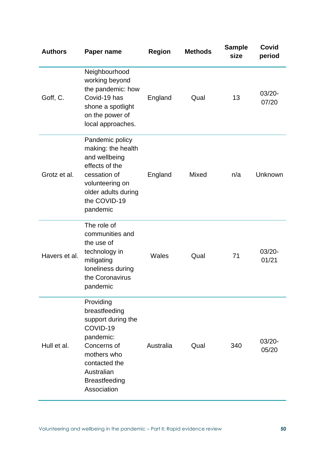| <b>Authors</b> | Paper name                                                                                                                                                                    | <b>Region</b> | <b>Methods</b> | <b>Sample</b><br>size | Covid<br>period    |
|----------------|-------------------------------------------------------------------------------------------------------------------------------------------------------------------------------|---------------|----------------|-----------------------|--------------------|
| Goff, C.       | Neighbourhood<br>working beyond<br>the pandemic: how<br>Covid-19 has<br>shone a spotlight<br>on the power of<br>local approaches.                                             | England       | Qual           | 13                    | $03/20 -$<br>07/20 |
| Grotz et al.   | Pandemic policy<br>making: the health<br>and wellbeing<br>effects of the<br>cessation of<br>volunteering on<br>older adults during<br>the COVID-19<br>pandemic                | England       | <b>Mixed</b>   | n/a                   | Unknown            |
| Havers et al.  | The role of<br>communities and<br>the use of<br>technology in<br>mitigating<br>loneliness during<br>the Coronavirus<br>pandemic                                               | <b>Wales</b>  | Qual           | 71                    | 03/20-<br>01/21    |
| Hull et al.    | Providing<br>breastfeeding<br>support during the<br>COVID-19<br>pandemic:<br>Concerns of<br>mothers who<br>contacted the<br>Australian<br><b>Breastfeeding</b><br>Association | Australia     | Qual           | 340                   | 03/20-<br>05/20    |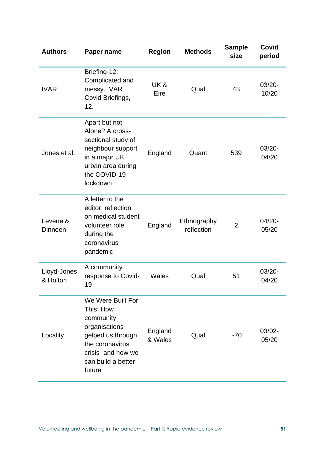| <b>Authors</b>          | Paper name                                                                                                                                                 | <b>Region</b>          | <b>Methods</b>            | <b>Sample</b><br>size | Covid<br>period    |
|-------------------------|------------------------------------------------------------------------------------------------------------------------------------------------------------|------------------------|---------------------------|-----------------------|--------------------|
| <b>IVAR</b>             | Briefing-12:<br>Complicated and<br>messy. IVAR<br>Covid Briefings,<br>12.                                                                                  | <b>UK&amp;</b><br>Eire | Qual                      | 43                    | $03/20 -$<br>10/20 |
| Jones et al.            | Apart but not<br>Alone? A cross-<br>sectional study of<br>neighbour support<br>in a major UK<br>urban area during<br>the COVID-19<br>lockdown              | England                | Quant                     | 539                   | $03/20 -$<br>04/20 |
| Levene &<br>Dinneen     | A letter to the<br>editor: reflection<br>on medical student<br>volunteer role<br>during the<br>coronavirus<br>pandemic                                     | England                | Ethnography<br>reflection | $\overline{2}$        | $04/20 -$<br>05/20 |
| Lloyd-Jones<br>& Holton | A community<br>response to Covid-<br>19                                                                                                                    | Wales                  | Qual                      | 51                    | 03/20-<br>04/20    |
| Locality                | We Were Built For<br>This: How<br>community<br>organisations<br>gelped us through<br>the coronavirus<br>crisis- and how we<br>can build a better<br>future | England<br>& Wales     | Qual                      | $~1$ – 70             | $03/02 -$<br>05/20 |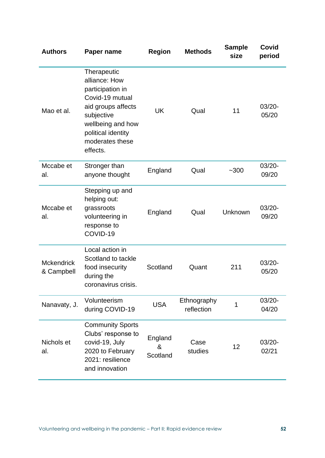| <b>Authors</b>                  | Paper name                                                                                                                                                                        | <b>Region</b>            | <b>Methods</b>            | <b>Sample</b><br>size | Covid<br>period    |
|---------------------------------|-----------------------------------------------------------------------------------------------------------------------------------------------------------------------------------|--------------------------|---------------------------|-----------------------|--------------------|
| Mao et al.                      | Therapeutic<br>alliance: How<br>participation in<br>Covid-19 mutual<br>aid groups affects<br>subjective<br>wellbeing and how<br>political identity<br>moderates these<br>effects. | <b>UK</b>                | Qual                      | 11                    | $03/20 -$<br>05/20 |
| Mccabe et<br>al.                | Stronger than<br>anyone thought                                                                                                                                                   | England                  | Qual                      | $-300$                | $03/20 -$<br>09/20 |
| Mccabe et<br>al.                | Stepping up and<br>helping out:<br>grassroots<br>volunteering in<br>response to<br>COVID-19                                                                                       | England                  | Qual                      | Unknown               | $03/20 -$<br>09/20 |
| <b>Mckendrick</b><br>& Campbell | Local action in<br>Scotland to tackle<br>food insecurity<br>during the<br>coronavirus crisis.                                                                                     | Scotland                 | Quant                     | 211                   | $03/20 -$<br>05/20 |
| Nanavaty, J.                    | Volunteerism<br>during COVID-19                                                                                                                                                   | <b>USA</b>               | Ethnography<br>reflection | 1                     | $03/20 -$<br>04/20 |
| Nichols et<br>al.               | <b>Community Sports</b><br>Clubs' response to<br>covid-19, July<br>2020 to February<br>2021: resilience<br>and innovation                                                         | England<br>&<br>Scotland | Case<br>studies           | 12                    | $03/20 -$<br>02/21 |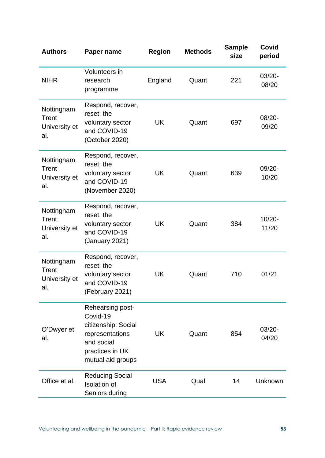| <b>Authors</b>                              | Paper name                                                                                                                   | <b>Region</b> | <b>Methods</b> | <b>Sample</b><br>size | Covid<br>period    |
|---------------------------------------------|------------------------------------------------------------------------------------------------------------------------------|---------------|----------------|-----------------------|--------------------|
| <b>NIHR</b>                                 | Volunteers in<br>research<br>programme                                                                                       | England       | Quant          | 221                   | 03/20-<br>08/20    |
| Nottingham<br>Trent<br>University et<br>al. | Respond, recover,<br>reset: the<br>voluntary sector<br>and COVID-19<br>(October 2020)                                        | <b>UK</b>     | Quant          | 697                   | 08/20-<br>09/20    |
| Nottingham<br>Trent<br>University et<br>al. | Respond, recover,<br>reset: the<br>voluntary sector<br>and COVID-19<br>(November 2020)                                       | <b>UK</b>     | Quant          | 639                   | 09/20-<br>10/20    |
| Nottingham<br>Trent<br>University et<br>al. | Respond, recover,<br>reset: the<br>voluntary sector<br>and COVID-19<br>(January 2021)                                        | UK            | Quant          | 384                   | 10/20-<br>11/20    |
| Nottingham<br>Trent<br>University et<br>al. | Respond, recover,<br>reset: the<br>voluntary sector<br>and COVID-19<br>(February 2021)                                       | UK            | Quant          | 710                   | 01/21              |
| O'Dwyer et<br>al.                           | Rehearsing post-<br>Covid-19<br>citizenship: Social<br>representations<br>and social<br>practices in UK<br>mutual aid groups | UK            | Quant          | 854                   | $03/20 -$<br>04/20 |
| Office et al.                               | <b>Reducing Social</b><br><b>Isolation</b> of<br>Seniors during                                                              | <b>USA</b>    | Qual           | 14                    | Unknown            |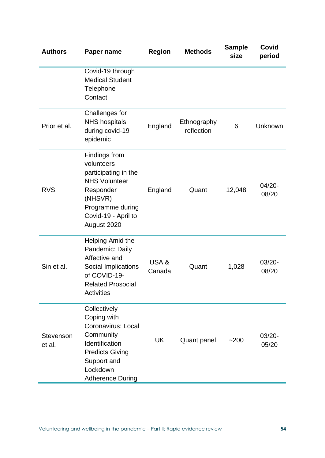| <b>Authors</b>      | Paper name                                                                                                                                                       | <b>Region</b>  | <b>Methods</b>            | <b>Sample</b><br>size | Covid<br>period    |
|---------------------|------------------------------------------------------------------------------------------------------------------------------------------------------------------|----------------|---------------------------|-----------------------|--------------------|
|                     | Covid-19 through<br><b>Medical Student</b><br>Telephone<br>Contact                                                                                               |                |                           |                       |                    |
| Prior et al.        | Challenges for<br><b>NHS hospitals</b><br>during covid-19<br>epidemic                                                                                            | England        | Ethnography<br>reflection | 6                     | Unknown            |
| <b>RVS</b>          | Findings from<br>volunteers<br>participating in the<br><b>NHS Volunteer</b><br>Responder<br>(NHSVR)<br>Programme during<br>Covid-19 - April to<br>August 2020    | England        | Quant                     | 12,048                | $04/20 -$<br>08/20 |
| Sin et al.          | Helping Amid the<br>Pandemic: Daily<br>Affective and<br>Social Implications<br>of COVID-19-<br><b>Related Prosocial</b><br><b>Activities</b>                     | USA&<br>Canada | Quant                     | 1,028                 | $03/20 -$<br>08/20 |
| Stevenson<br>et al. | Collectively<br>Coping with<br>Coronavirus: Local<br>Community<br>Identification<br><b>Predicts Giving</b><br>Support and<br>Lockdown<br><b>Adherence During</b> | <b>UK</b>      | <b>Quant panel</b>        | $-200$                | $03/20 -$<br>05/20 |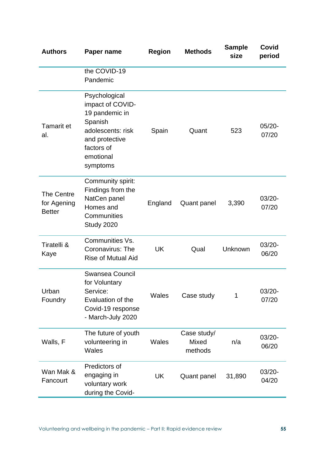| <b>Authors</b>                                    | Paper name                                                                                                                                   | <b>Region</b> | <b>Methods</b>                  | <b>Sample</b><br>size | Covid<br>period    |
|---------------------------------------------------|----------------------------------------------------------------------------------------------------------------------------------------------|---------------|---------------------------------|-----------------------|--------------------|
|                                                   | the COVID-19<br>Pandemic                                                                                                                     |               |                                 |                       |                    |
| <b>Tamarit et</b><br>al.                          | Psychological<br>impact of COVID-<br>19 pandemic in<br>Spanish<br>adolescents: risk<br>and protective<br>factors of<br>emotional<br>symptoms | Spain         | Quant                           | 523                   | $05/20 -$<br>07/20 |
| <b>The Centre</b><br>for Agening<br><b>Better</b> | Community spirit:<br>Findings from the<br>NatCen panel<br>Homes and<br>Communities<br>Study 2020                                             | England       | Quant panel                     | 3,390                 | $03/20 -$<br>07/20 |
| Tiratelli &<br>Kaye                               | Communities Vs.<br>Coronavirus: The<br><b>Rise of Mutual Aid</b>                                                                             | UK            | Qual                            | Unknown               | $03/20 -$<br>06/20 |
| Urban<br>Foundry                                  | <b>Swansea Council</b><br>for Voluntary<br>Service:<br>Evaluation of the<br>Covid-19 response<br>- March-July 2020                           | Wales         | Case study                      | 1                     | $03/20 -$<br>07/20 |
| Walls, F                                          | The future of youth<br>volunteering in<br>Wales                                                                                              | Wales         | Case study/<br>Mixed<br>methods | n/a                   | $03/20 -$<br>06/20 |
| Wan Mak &<br>Fancourt                             | Predictors of<br>engaging in<br>voluntary work<br>during the Covid-                                                                          | <b>UK</b>     | <b>Quant panel</b>              | 31,890                | $03/20 -$<br>04/20 |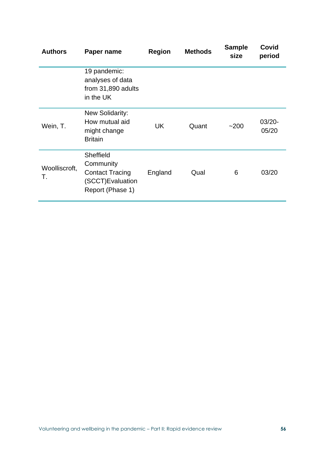| <b>Authors</b>      | Paper name                                                                               | <b>Region</b> | <b>Methods</b> | <b>Sample</b><br>size | Covid<br>period    |
|---------------------|------------------------------------------------------------------------------------------|---------------|----------------|-----------------------|--------------------|
|                     | 19 pandemic:<br>analyses of data<br>from 31,890 adults<br>in the UK                      |               |                |                       |                    |
| Wein, T.            | New Solidarity:<br>How mutual aid<br>might change<br><b>Britain</b>                      | UK            | Quant          | $-200$                | $03/20 -$<br>05/20 |
| Woolliscroft,<br>Τ. | Sheffield<br>Community<br><b>Contact Tracing</b><br>(SCCT)Evaluation<br>Report (Phase 1) | England       | Qual           | 6                     | 03/20              |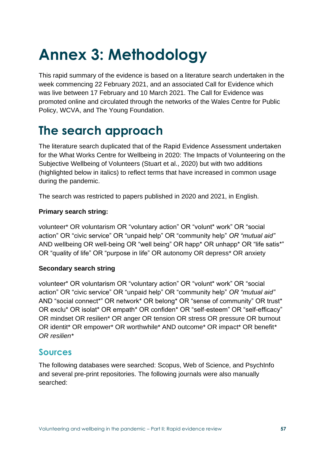# **Annex 3: Methodology**

This rapid summary of the evidence is based on a literature search undertaken in the week commencing 22 February 2021, and an associated Call for Evidence which was live between 17 February and 10 March 2021. The Call for Evidence was promoted online and circulated through the networks of the Wales Centre for Public Policy, WCVA, and The Young Foundation.

# **The search approach**

The literature search duplicated that of the Rapid Evidence Assessment undertaken for the What Works Centre for Wellbeing in 2020: The Impacts of Volunteering on the Subjective Wellbeing of Volunteers (Stuart et al., 2020) but with two additions (highlighted below in italics) to reflect terms that have increased in common usage during the pandemic.

The search was restricted to papers published in 2020 and 2021, in English.

#### **Primary search string:**

volunteer\* OR voluntarism OR "voluntary action" OR "volunt\* work" OR "social action" OR "civic service" OR "unpaid help" OR "community help" *OR "mutual aid"* AND wellbeing OR well-being OR "well being" OR happ\* OR unhapp\* OR "life satis\*" OR "quality of life" OR "purpose in life" OR autonomy OR depress\* OR anxiety

#### **Secondary search string**

volunteer\* OR voluntarism OR "voluntary action" OR "volunt\* work" OR "social action" OR "civic service" OR "unpaid help" OR "community help" *OR "mutual aid"* AND "social connect\*" OR network\* OR belong\* OR "sense of community" OR trust\* OR exclu\* OR isolat\* OR empath\* OR confiden\* OR "self-esteem" OR "self-efficacy" OR mindset OR resilien\* OR anger OR tension OR stress OR pressure OR burnout OR identit\* OR empower\* OR worthwhile\* AND outcome\* OR impact\* OR benefit*\* OR resilien\**

## **Sources**

The following databases were searched: Scopus, Web of Science, and PsychInfo and several pre-print repositories. The following journals were also manually searched: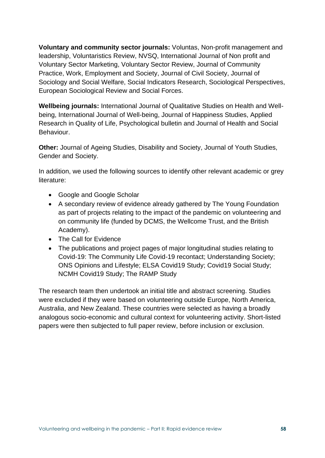**Voluntary and community sector journals:** Voluntas, Non-profit management and leadership, Voluntaristics Review, NVSQ, International Journal of Non profit and Voluntary Sector Marketing, Voluntary Sector Review, Journal of Community Practice, Work, Employment and Society, Journal of Civil Society, Journal of Sociology and Social Welfare, Social Indicators Research, Sociological Perspectives, European Sociological Review and Social Forces.

**Wellbeing journals:** International Journal of Qualitative Studies on Health and Wellbeing, International Journal of Well-being, Journal of Happiness Studies, Applied Research in Quality of Life, Psychological bulletin and Journal of Health and Social Behaviour.

**Other:** Journal of Ageing Studies, Disability and Society, Journal of Youth Studies, Gender and Society.

In addition, we used the following sources to identify other relevant academic or grey literature:

- Google and Google Scholar
- A secondary review of evidence already gathered by The Young Foundation as part of projects relating to the impact of the pandemic on volunteering and on community life (funded by DCMS, the Wellcome Trust, and the British Academy).
- The Call for Evidence
- The publications and project pages of major longitudinal studies relating to Covid-19: The Community Life Covid-19 recontact; Understanding Society; ONS Opinions and Lifestyle; ELSA Covid19 Study; Covid19 Social Study; NCMH Covid19 Study; The RAMP Study

The research team then undertook an initial title and abstract screening. Studies were excluded if they were based on volunteering outside Europe, North America, Australia, and New Zealand. These countries were selected as having a broadly analogous socio-economic and cultural context for volunteering activity. Short-listed papers were then subjected to full paper review, before inclusion or exclusion.